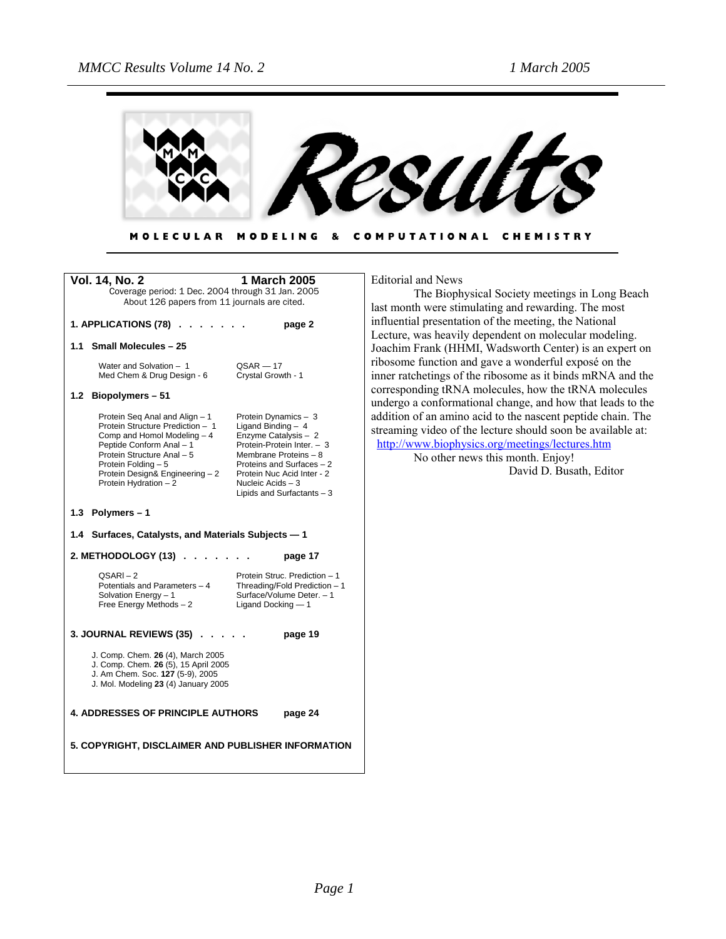

#### MODELING & COMPUTATIONAL CHEMISTRY **MOLECULAR**

| <b>Vol. 14, No. 2</b>                                                                                                                                                                                                                           | 1 March 2005                                                                                                                                                                                                                               |  |
|-------------------------------------------------------------------------------------------------------------------------------------------------------------------------------------------------------------------------------------------------|--------------------------------------------------------------------------------------------------------------------------------------------------------------------------------------------------------------------------------------------|--|
| Coverage period: 1 Dec. 2004 through 31 Jan. 2005                                                                                                                                                                                               |                                                                                                                                                                                                                                            |  |
| About 126 papers from 11 journals are cited.                                                                                                                                                                                                    |                                                                                                                                                                                                                                            |  |
| 1. APPLICATIONS (78).<br>page 2                                                                                                                                                                                                                 |                                                                                                                                                                                                                                            |  |
| 1.1<br><b>Small Molecules - 25</b>                                                                                                                                                                                                              |                                                                                                                                                                                                                                            |  |
| Water and Solvation - 1<br>Med Chem & Drug Design - 6                                                                                                                                                                                           | $QSAR - 17$<br>Crystal Growth - 1                                                                                                                                                                                                          |  |
| 1.2 Biopolymers - 51                                                                                                                                                                                                                            |                                                                                                                                                                                                                                            |  |
| Protein Seq Anal and Align - 1<br>Protein Structure Prediction - 1<br>Comp and Homol Modeling - 4<br>Peptide Conform Anal - 1<br>Protein Structure Anal - 5<br>Protein Folding - 5<br>Protein Design& Engineering - 2<br>Protein Hydration $-2$ | Protein Dynamics - 3<br>Ligand Binding $-4$<br>Enzyme Catalysis - 2<br>Protein-Protein Inter. - 3<br>Membrane Proteins - 8<br>Proteins and Surfaces - 2<br>Protein Nuc Acid Inter - 2<br>Nucleic Acids $-3$<br>Lipids and Surfactants $-3$ |  |
| 1.3 Polymers - 1                                                                                                                                                                                                                                |                                                                                                                                                                                                                                            |  |
| 1.4 Surfaces, Catalysts, and Materials Subjects - 1                                                                                                                                                                                             |                                                                                                                                                                                                                                            |  |
| 2. METHODOLOGY (13) .                                                                                                                                                                                                                           | page 17                                                                                                                                                                                                                                    |  |
| $QSARI - 2$<br>Potentials and Parameters - 4<br>Solvation Energy - 1<br>Free Energy Methods - 2                                                                                                                                                 | Protein Struc. Prediction - 1<br>Threading/Fold Prediction - 1<br>Surface/Volume Deter. - 1<br>Ligand Docking - 1                                                                                                                          |  |
| 3. JOURNAL REVIEWS (35).                                                                                                                                                                                                                        | page 19                                                                                                                                                                                                                                    |  |
| J. Comp. Chem. 26 (4), March 2005<br>J. Comp. Chem. 26 (5), 15 April 2005<br>J. Am Chem. Soc. 127 (5-9), 2005<br>J. Mol. Modeling 23 (4) January 2005                                                                                           |                                                                                                                                                                                                                                            |  |
| <b>4. ADDRESSES OF PRINCIPLE AUTHORS</b>                                                                                                                                                                                                        | page 24                                                                                                                                                                                                                                    |  |
| 5. COPYRIGHT, DISCLAIMER AND PUBLISHER INFORMATION                                                                                                                                                                                              |                                                                                                                                                                                                                                            |  |

Editorial and News

The Biophysical Society meetings in Long Beach last month were stimulating and rewarding. The most influential presentation of the meeting, the National Lecture, was heavily dependent on molecular modeling. Joachim Frank (HHMI, Wadsworth Center) is an expert on ribosome function and gave a wonderful exposé on the inner ratchetings of the ribosome as it binds mRNA and the corresponding tRNA molecules, how the tRNA molecules undergo a conformational change, and how that leads to the addition of an amino acid to the nascent peptide chain. The streaming video of the lecture should soon be available at: <http://www.biophysics.org/meetings/lectures.htm>

No other news this month. Enjoy! David D. Busath, Editor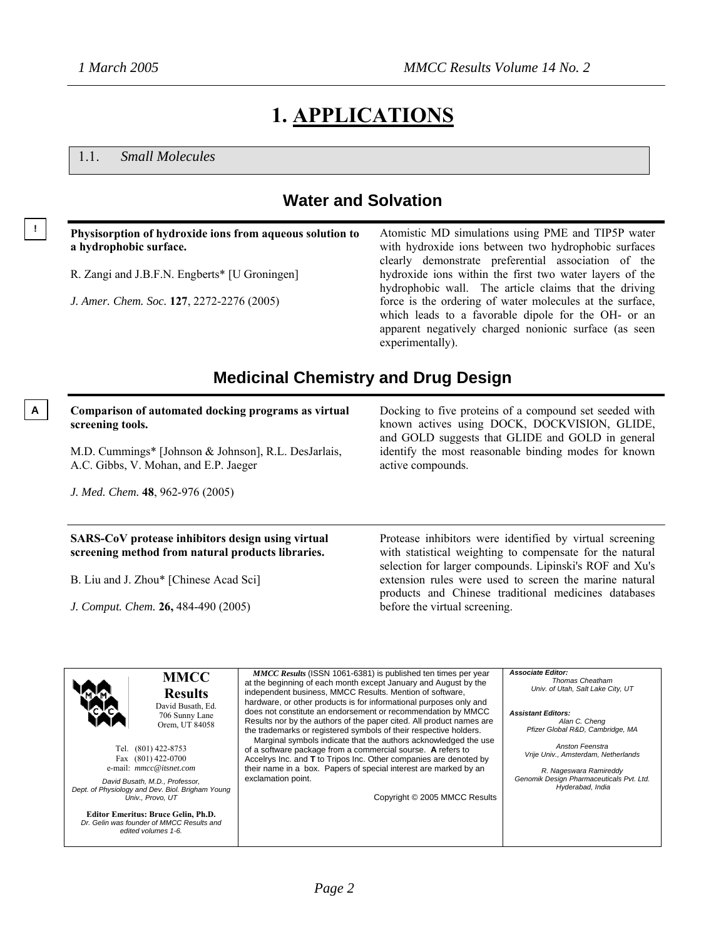## **1. APPLICATIONS**

1.1. *Small Molecules*

### **Water and Solvation**

| with hydroxide ions between two hydrophobic surfaces                                                                                                                                         |
|----------------------------------------------------------------------------------------------------------------------------------------------------------------------------------------------|
| clearly demonstrate preferential association of the<br>hydroxide ions within the first two water layers of the                                                                               |
| hydrophobic wall. The article claims that the driving                                                                                                                                        |
| force is the ordering of water molecules at the surface,<br>which leads to a favorable dipole for the OH- or an<br>apparent negatively charged nonionic surface (as seen<br>experimentally). |
|                                                                                                                                                                                              |

### **Medicinal Chemistry and Drug Design**

#### **A Comparison of automated docking programs as virtual screening tools.**

M.D. Cummings\* [Johnson & Johnson], R.L. DesJarlais, A.C. Gibbs, V. Mohan, and E.P. Jaeger

*J. Med. Chem.* **48**, 962-976 (2005)

#### **SARS-CoV protease inhibitors design using virtual screening method from natural products libraries.**

B. Liu and J. Zhou\* [Chinese Acad Sci]

*J. Comput. Chem.* **26,** 484-490 (2005)

Docking to five proteins of a compound set seeded with known actives using DOCK, DOCKVISION, GLIDE, and GOLD suggests that GLIDE and GOLD in general identify the most reasonable binding modes for known active compounds.

Protease inhibitors were identified by virtual screening with statistical weighting to compensate for the natural selection for larger compounds. Lipinski's ROF and Xu's extension rules were used to screen the marine natural products and Chinese traditional medicines databases before the virtual screening.

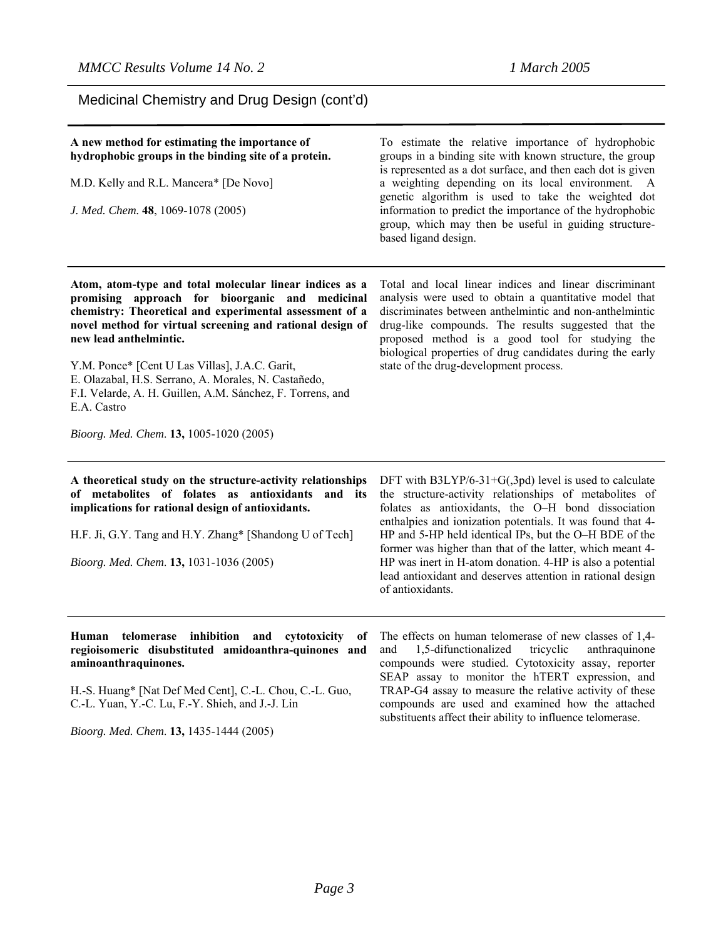Medicinal Chemistry and Drug Design (cont'd)

#### **A new method for estimating the importance of hydrophobic groups in the binding site of a protein.**

M.D. Kelly and R.L. Mancera\* [De Novo]

*J. Med. Chem.* **48**, 1069-1078 (2005)

To estimate the relative importance of hydrophobic groups in a binding site with known structure, the group is represented as a dot surface, and then each dot is given a weighting depending on its local environment. A genetic algorithm is used to take the weighted dot information to predict the importance of the hydrophobic group, which may then be useful in guiding structurebased ligand design.

**Atom, atom-type and total molecular linear indices as a promising approach for bioorganic and medicinal chemistry: Theoretical and experimental assessment of a novel method for virtual screening and rational design of new lead anthelmintic.** 

Y.M. Ponce\* [Cent U Las Villas], J.A.C. Garit, E. Olazabal, H.S. Serrano, A. Morales, N. Castañedo, F.I. Velarde, A. H. Guillen, A.M. Sánchez, F. Torrens, and E.A. Castro

*Bioorg. Med. Chem*. **13,** 1005-1020 (2005)

**A theoretical study on the structure-activity relationships of metabolites of folates as antioxidants and its implications for rational design of antioxidants.** 

H.F. Ji, G.Y. Tang and H.Y. Zhang\* [Shandong U of Tech]

*Bioorg. Med. Chem*. **13,** 1031-1036 (2005)

Total and local linear indices and linear discriminant analysis were used to obtain a quantitative model that discriminates between anthelmintic and non-anthelmintic drug-like compounds. The results suggested that the proposed method is a good tool for studying the biological properties of drug candidates during the early state of the drug-development process.

DFT with B3LYP/6-31+G(,3pd) level is used to calculate the structure-activity relationships of metabolites of folates as antioxidants, the O–H bond dissociation enthalpies and ionization potentials. It was found that 4- HP and 5-HP held identical IPs, but the O–H BDE of the former was higher than that of the latter, which meant 4- HP was inert in H-atom donation. 4-HP is also a potential lead antioxidant and deserves attention in rational design of antioxidants.

**Human telomerase inhibition and cytotoxicity of regioisomeric disubstituted amidoanthra-quinones and aminoanthraquinones.** 

H.-S. Huang\* [Nat Def Med Cent], C.-L. Chou, C.-L. Guo, C.-L. Yuan, Y.-C. Lu, F.-Y. Shieh, and J.-J. Lin

*Bioorg. Med. Chem*. **13,** 1435-1444 (2005)

The effects on human telomerase of new classes of 1,4 and 1,5-difunctionalized tricyclic anthraquinone compounds were studied. Cytotoxicity assay, reporter SEAP assay to monitor the hTERT expression, and TRAP-G4 assay to measure the relative activity of these compounds are used and examined how the attached substituents affect their ability to influence telomerase.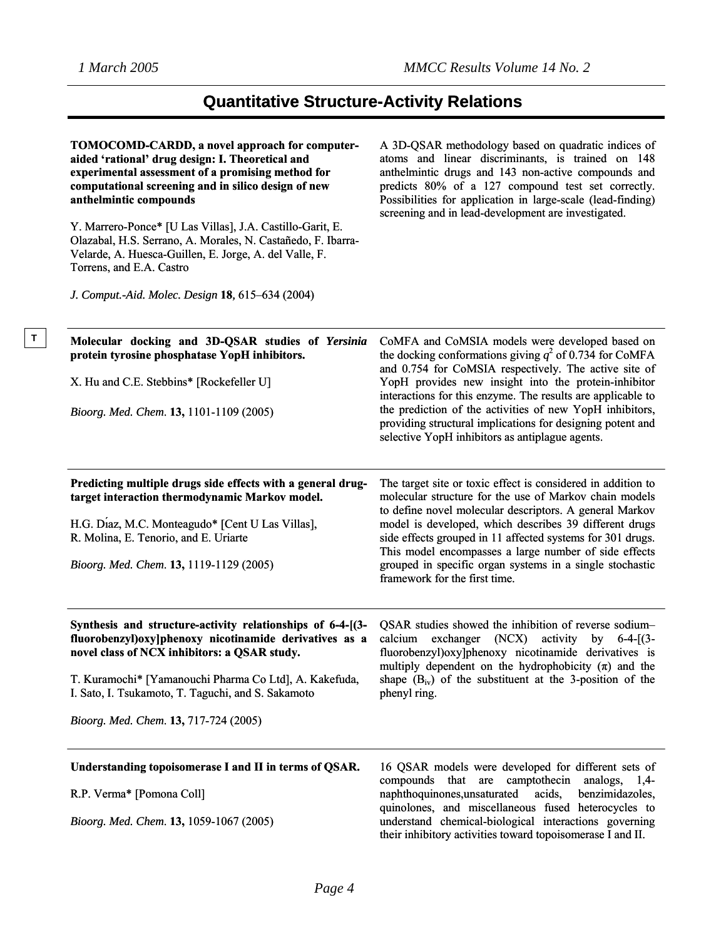| TOMOCOMD-CARDD, a novel approach for computer-<br>aided 'rational' drug design: I. Theoretical and<br>experimental assessment of a promising method for<br>computational screening and in silico design of new<br>anthelmintic compounds | A 3D-QSAR methodology based on quadratic indices of<br>atoms and linear discriminants, is trained on 148<br>anthelmintic drugs and 143 non-active compounds and<br>predicts 80% of a 127 compound test set correctly.<br>Possibilities for application in large-scale (lead-finding)<br>screening and in lead-development are investigated. |
|------------------------------------------------------------------------------------------------------------------------------------------------------------------------------------------------------------------------------------------|---------------------------------------------------------------------------------------------------------------------------------------------------------------------------------------------------------------------------------------------------------------------------------------------------------------------------------------------|
| Y. Marrero-Ponce* [U Las Villas], J.A. Castillo-Garit, E.<br>Olazabal, H.S. Serrano, A. Morales, N. Castañedo, F. Ibarra-<br>Velarde, A. Huesca-Guillen, E. Jorge, A. del Valle, F.<br>Torrens, and E.A. Castro                          |                                                                                                                                                                                                                                                                                                                                             |
| J. Comput.-Aid. Molec. Design 18, 615–634 (2004)                                                                                                                                                                                         |                                                                                                                                                                                                                                                                                                                                             |
| Molecular docking and 3D-QSAR studies of Yersinia<br>protein tyrosine phosphatase YopH inhibitors.                                                                                                                                       | CoMFA and CoMSIA models were developed based on<br>the docking conformations giving $q^2$ of 0.734 for CoMFA<br>and 0.754 for CoMSIA respectively. The active site of                                                                                                                                                                       |
| X. Hu and C.E. Stebbins* [Rockefeller U]                                                                                                                                                                                                 | YopH provides new insight into the protein-inhibitor                                                                                                                                                                                                                                                                                        |
| Bioorg. Med. Chem. 13, 1101-1109 (2005)                                                                                                                                                                                                  | interactions for this enzyme. The results are applicable to<br>the prediction of the activities of new YopH inhibitors,<br>providing structural implications for designing potent and<br>selective YopH inhibitors as antiplague agents.                                                                                                    |
| Predicting multiple drugs side effects with a general drug-<br>target interaction thermodynamic Markov model.                                                                                                                            | The target site or toxic effect is considered in addition to<br>molecular structure for the use of Markov chain models<br>to define novel molecular descriptors. A general Markov                                                                                                                                                           |
| H.G. Diaz, M.C. Monteagudo* [Cent U Las Villas],<br>R. Molina, E. Tenorio, and E. Uriarte                                                                                                                                                | model is developed, which describes 39 different drugs<br>side effects grouped in 11 affected systems for 301 drugs.<br>This model encompasses a large number of side effects                                                                                                                                                               |
| Bioorg. Med. Chem. 13, 1119-1129 (2005)                                                                                                                                                                                                  | grouped in specific organ systems in a single stochastic<br>framework for the first time.                                                                                                                                                                                                                                                   |
| Synthesis and structure-activity relationships of 6-4-[(3-<br>fluorobenzyl) oxylphenoxy nicotinamide derivatives as a<br>novel class of NCX inhibitors: a QSAR study.                                                                    | QSAR studies showed the inhibition of reverse sodium-<br>calcium exchanger (NCX) activity by 6-4-[(3-<br>fluorobenzyl) oxylphenoxy nicotinamide derivatives is<br>multiply dependent on the hydrophobicity $(\pi)$ and the                                                                                                                  |
| T. Kuramochi* [Yamanouchi Pharma Co Ltd], A. Kakefuda,<br>I. Sato, I. Tsukamoto, T. Taguchi, and S. Sakamoto                                                                                                                             | shape $(B_{iv})$ of the substituent at the 3-position of the<br>phenyl ring.                                                                                                                                                                                                                                                                |
| Bioorg. Med. Chem. 13, 717-724 (2005)                                                                                                                                                                                                    |                                                                                                                                                                                                                                                                                                                                             |
| Understanding topoisomerase I and II in terms of QSAR.                                                                                                                                                                                   | 16 QSAR models were developed for different sets of<br>compounds that are camptothecin<br>analogs, $1,4$ -                                                                                                                                                                                                                                  |
| R.P. Verma* [Pomona Coll]                                                                                                                                                                                                                | benzimidazoles,<br>naphthoquinones, unsaturated<br>acids,                                                                                                                                                                                                                                                                                   |
| Bioorg. Med. Chem. 13, 1059-1067 (2005)                                                                                                                                                                                                  | quinolones, and miscellaneous fused heterocycles to<br>understand chemical-biological interactions governing<br>their inhibitory activities toward topoisomerase I and II.                                                                                                                                                                  |
|                                                                                                                                                                                                                                          |                                                                                                                                                                                                                                                                                                                                             |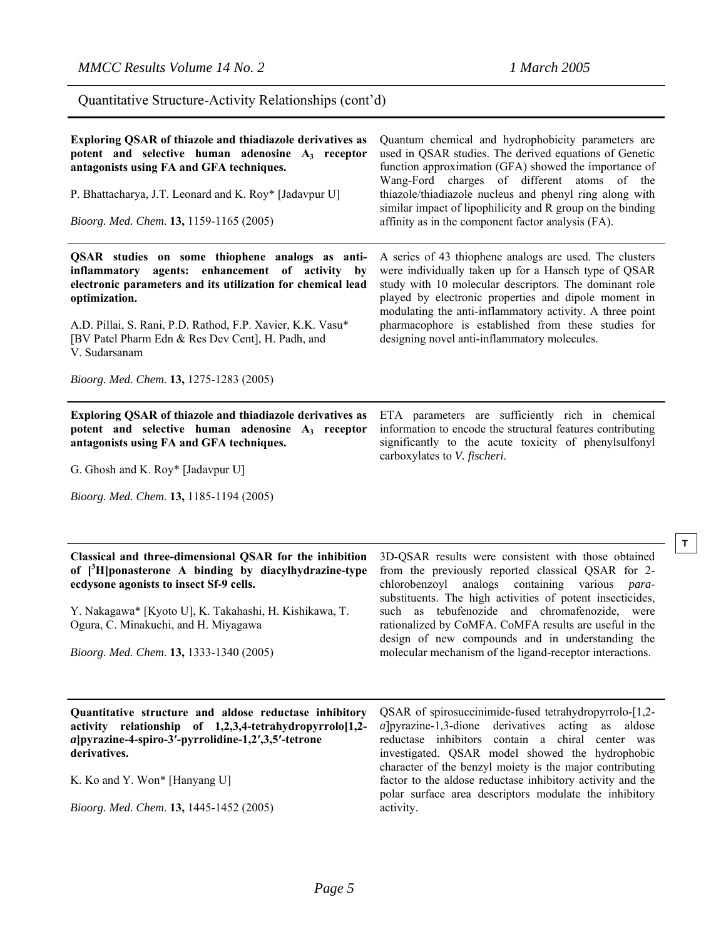Quantitative Structure-Activity Relationships (cont'd)

| Exploring QSAR of thiazole and thiadiazole derivatives as<br>potent and selective human adenosine A <sub>3</sub> receptor<br>antagonists using FA and GFA techniques.<br>P. Bhattacharya, J.T. Leonard and K. Roy* [Jadavpur U]<br>Bioorg. Med. Chem. 13, 1159-1165 (2005)                                                                                        | Quantum chemical and hydrophobicity parameters are<br>used in QSAR studies. The derived equations of Genetic<br>function approximation (GFA) showed the importance of<br>Wang-Ford charges of different atoms of the<br>thiazole/thiadiazole nucleus and phenyl ring along with<br>similar impact of lipophilicity and R group on the binding<br>affinity as in the component factor analysis (FA).                                                              |
|-------------------------------------------------------------------------------------------------------------------------------------------------------------------------------------------------------------------------------------------------------------------------------------------------------------------------------------------------------------------|------------------------------------------------------------------------------------------------------------------------------------------------------------------------------------------------------------------------------------------------------------------------------------------------------------------------------------------------------------------------------------------------------------------------------------------------------------------|
| QSAR studies on some thiophene analogs as anti-<br>inflammatory agents: enhancement of activity by<br>electronic parameters and its utilization for chemical lead<br>optimization.<br>A.D. Pillai, S. Rani, P.D. Rathod, F.P. Xavier, K.K. Vasu*<br>[BV Patel Pharm Edn & Res Dev Cent], H. Padh, and<br>V. Sudarsanam<br>Bioorg. Med. Chem. 13, 1275-1283 (2005) | A series of 43 thiophene analogs are used. The clusters<br>were individually taken up for a Hansch type of QSAR<br>study with 10 molecular descriptors. The dominant role<br>played by electronic properties and dipole moment in<br>modulating the anti-inflammatory activity. A three point<br>pharmacophore is established from these studies for<br>designing novel anti-inflammatory molecules.                                                             |
| Exploring QSAR of thiazole and thiadiazole derivatives as<br>potent and selective human adenosine A <sub>3</sub> receptor<br>antagonists using FA and GFA techniques.<br>G. Ghosh and K. Roy* [Jadavpur U]<br>Bioorg. Med. Chem. 13, 1185-1194 (2005)                                                                                                             | ETA parameters are sufficiently rich in chemical<br>information to encode the structural features contributing<br>significantly to the acute toxicity of phenylsulfonyl<br>carboxylates to V. fischeri.                                                                                                                                                                                                                                                          |
| Classical and three-dimensional QSAR for the inhibition<br>of $\int^3 H$ ponasterone A binding by diacylhydrazine-type<br>ecdysone agonists to insect Sf-9 cells.<br>Y. Nakagawa* [Kyoto U], K. Takahashi, H. Kishikawa, T.<br>Ogura, C. Minakuchi, and H. Miyagawa<br>Bioorg. Med. Chem. 13, 1333-1340 (2005)                                                    | 3D-QSAR results were consistent with those obtained<br>from the previously reported classical QSAR for 2-<br>chlorobenzoyl analogs containing various<br><i>para-</i><br>substituents. The high activities of potent insecticides,<br>such as tebufenozide and chromafenozide,<br>were<br>rationalized by CoMFA. CoMFA results are useful in the<br>design of new compounds and in understanding the<br>molecular mechanism of the ligand-receptor interactions. |
| Quantitative structure and aldose reductase inhibitory<br>activity<br>relationship of 1,2,3,4-tetrahydropyrrolo[1,2-                                                                                                                                                                                                                                              | QSAR of spirosuccinimide-fused tetrahydropyrrolo-[1,2-<br>$a$   pyrazine-1,3-dione derivatives<br>acting<br>aldose<br>as                                                                                                                                                                                                                                                                                                                                         |

K. Ko and Y. Won\* [Hanyang U]

**derivatives.** 

*Bioorg. Med. Chem*. **13,** 1445-1452 (2005)

*a***]pyrazine-4-spiro-3′-pyrrolidine-1,2′,3,5′-tetrone** 

*a*]pyrazine-1,3-dione derivatives acting as aldose reductase inhibitors contain a chiral center was investigated. QSAR model showed the hydrophobic character of the benzyl moiety is the major contributing factor to the aldose reductase inhibitory activity and the polar surface area descriptors modulate the inhibitory activity.

**T**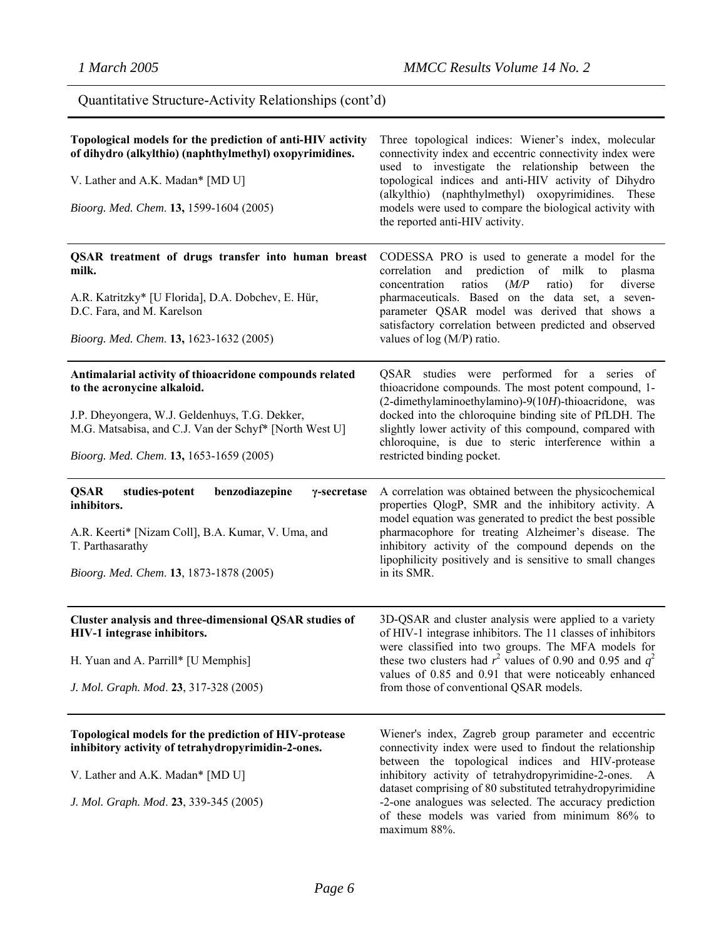Quantitative Structure-Activity Relationships (cont'd)

| Topological models for the prediction of anti-HIV activity<br>of dihydro (alkylthio) (naphthylmethyl) oxopyrimidines.<br>V. Lather and A.K. Madan* [MD U]<br>Bioorg. Med. Chem. 13, 1599-1604 (2005)                                          | Three topological indices: Wiener's index, molecular<br>connectivity index and eccentric connectivity index were<br>used to investigate the relationship between the<br>topological indices and anti-HIV activity of Dihydro<br>(alkylthio) (naphthylmethyl) oxopyrimidines. These<br>models were used to compare the biological activity with<br>the reported anti-HIV activity. |
|-----------------------------------------------------------------------------------------------------------------------------------------------------------------------------------------------------------------------------------------------|-----------------------------------------------------------------------------------------------------------------------------------------------------------------------------------------------------------------------------------------------------------------------------------------------------------------------------------------------------------------------------------|
| QSAR treatment of drugs transfer into human breast<br>milk.<br>A.R. Katritzky* [U Florida], D.A. Dobchev, E. Hür,<br>D.C. Fara, and M. Karelson<br>Bioorg. Med. Chem. 13, 1623-1632 (2005)                                                    | CODESSA PRO is used to generate a model for the<br>correlation and prediction of milk<br>to<br>plasma<br>for<br>diverse<br>concentration<br>ratios<br>(M/P)<br>ratio)<br>pharmaceuticals. Based on the data set, a seven-<br>parameter QSAR model was derived that shows a<br>satisfactory correlation between predicted and observed<br>values of $log(M/P)$ ratio.              |
| Antimalarial activity of thioacridone compounds related<br>to the acronycine alkaloid.<br>J.P. Dheyongera, W.J. Geldenhuys, T.G. Dekker,<br>M.G. Matsabisa, and C.J. Van der Schyf* [North West U]<br>Bioorg. Med. Chem. 13, 1653-1659 (2005) | QSAR studies were performed for a series of<br>thioacridone compounds. The most potent compound, 1-<br>(2-dimethylaminoethylamino)-9(10H)-thioacridone, was<br>docked into the chloroquine binding site of PfLDH. The<br>slightly lower activity of this compound, compared with<br>chloroquine, is due to steric interference within a<br>restricted binding pocket.             |
| <b>QSAR</b><br>studies-potent<br>benzodiazepine<br>γ-secretase<br>inhibitors.<br>A.R. Keerti* [Nizam Coll], B.A. Kumar, V. Uma, and<br>T. Parthasarathy<br>Bioorg. Med. Chem. 13, 1873-1878 (2005)                                            | A correlation was obtained between the physicochemical<br>properties QlogP, SMR and the inhibitory activity. A<br>model equation was generated to predict the best possible<br>pharmacophore for treating Alzheimer's disease. The<br>inhibitory activity of the compound depends on the<br>lipophilicity positively and is sensitive to small changes<br>in its SMR.             |
| Cluster analysis and three-dimensional QSAR studies of<br>HIV-1 integrase inhibitors.<br>H. Yuan and A. Parrill* [U Memphis]<br>J. Mol. Graph. Mod. 23, 317-328 (2005)                                                                        | 3D-QSAR and cluster analysis were applied to a variety<br>of HIV-1 integrase inhibitors. The 11 classes of inhibitors<br>were classified into two groups. The MFA models for<br>these two clusters had $r^2$ values of 0.90 and 0.95 and $q^2$<br>values of 0.85 and 0.91 that were noticeably enhanced<br>from those of conventional QSAR models.                                |
| Topological models for the prediction of HIV-protease<br>inhibitory activity of tetrahydropyrimidin-2-ones.<br>V. Lather and A.K. Madan* [MD U]                                                                                               | Wiener's index, Zagreb group parameter and eccentric<br>connectivity index were used to findout the relationship<br>between the topological indices and HIV-protease<br>inhibitory activity of tetrahydropyrimidine-2-ones. A                                                                                                                                                     |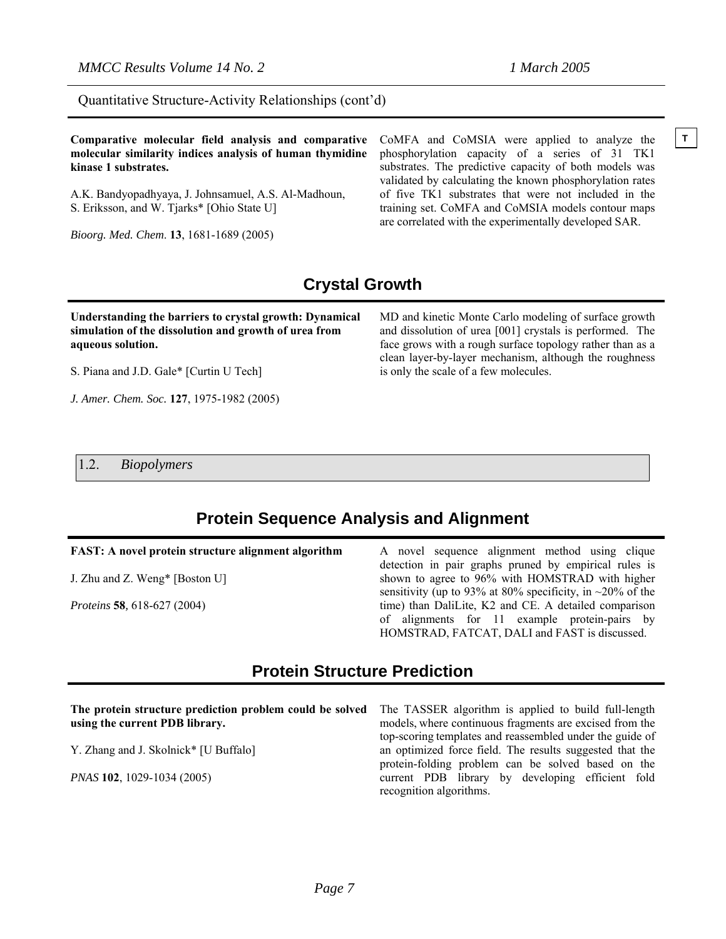Quantitative Structure-Activity Relationships (cont'd)

**Comparative molecular field analysis and comparative** CoMFA and CoMSIA were applied to analyze the  $\vert$ **T molecular similarity indices analysis of human thymidine kinase 1 substrates.** 

A.K. Bandyopadhyaya, J. Johnsamuel, A.S. Al-Madhoun, S. Eriksson, and W. Tjarks\* [Ohio State U]

*Bioorg. Med. Chem*. **13**, 1681-1689 (2005)

CoMFA and CoMSIA were applied to analyze the phosphorylation capacity of a series of 31 TK1 substrates. The predictive capacity of both models was validated by calculating the known phosphorylation rates of five TK1 substrates that were not included in the training set. CoMFA and CoMSIA models contour maps are correlated with the experimentally developed SAR.

### **Crystal Growth**

#### **Understanding the barriers to crystal growth: Dynamical simulation of the dissolution and growth of urea from aqueous solution.**

S. Piana and J.D. Gale\* [Curtin U Tech]

*J. Amer. Chem. Soc.* **127**, 1975-1982 (2005)

MD and kinetic Monte Carlo modeling of surface growth and dissolution of urea [001] crystals is performed. The face grows with a rough surface topology rather than as a clean layer-by-layer mechanism, although the roughness is only the scale of a few molecules.

1.2. *Biopolymers* 

### **Protein Sequence Analysis and Alignment**

#### **FAST: A novel protein structure alignment algorithm**

J. Zhu and Z. Weng\* [Boston U]

*Proteins* **58***,* 618-627 (2004)

A novel sequence alignment method using clique detection in pair graphs pruned by empirical rules is shown to agree to 96% with HOMSTRAD with higher sensitivity (up to 93% at 80% specificity, in  $\sim$ 20% of the time) than DaliLite, K2 and CE. A detailed comparison of alignments for 11 example protein-pairs by HOMSTRAD, FATCAT, DALI and FAST is discussed.

### **Protein Structure Prediction**

**The protein structure prediction problem could be solved using the current PDB library.**  Y. Zhang and J. Skolnick\* [U Buffalo] *PNAS* **102**, 1029-1034 (2005) The TASSER algorithm is applied to build full-length models, where continuous fragments are excised from the top-scoring templates and reassembled under the guide of an optimized force field. The results suggested that the protein-folding problem can be solved based on the current PDB library by developing efficient fold recognition algorithms.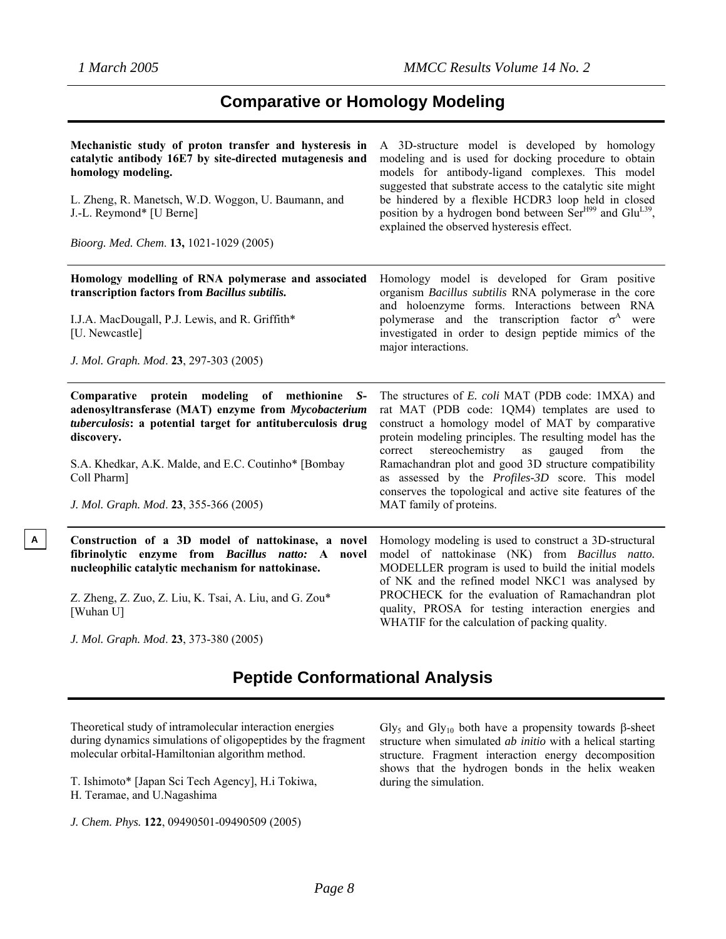**A**

### **Comparative or Homology Modeling**

| Mechanistic study of proton transfer and hysteresis in<br>catalytic antibody 16E7 by site-directed mutagenesis and<br>homology modeling.<br>L. Zheng, R. Manetsch, W.D. Woggon, U. Baumann, and<br>J.-L. Reymond* [U Berne]<br>Bioorg. Med. Chem. 13, 1021-1029 (2005)                             | A 3D-structure model is developed by homology<br>modeling and is used for docking procedure to obtain<br>models for antibody-ligand complexes. This model<br>suggested that substrate access to the catalytic site might<br>be hindered by a flexible HCDR3 loop held in closed<br>position by a hydrogen bond between Ser <sup>H99</sup> and Glu <sup>L39</sup> ,<br>explained the observed hysteresis effect.                                                                        |
|----------------------------------------------------------------------------------------------------------------------------------------------------------------------------------------------------------------------------------------------------------------------------------------------------|----------------------------------------------------------------------------------------------------------------------------------------------------------------------------------------------------------------------------------------------------------------------------------------------------------------------------------------------------------------------------------------------------------------------------------------------------------------------------------------|
| Homology modelling of RNA polymerase and associated<br>transcription factors from Bacillus subtilis.<br>I.J.A. MacDougall, P.J. Lewis, and R. Griffith*<br>[U. Newcastle]<br>J. Mol. Graph. Mod. 23, 297-303 (2005)                                                                                | Homology model is developed for Gram positive<br>organism Bacillus subtilis RNA polymerase in the core<br>and holoenzyme forms. Interactions between RNA<br>polymerase and the transcription factor $\sigma^A$ were<br>investigated in order to design peptide mimics of the<br>major interactions.                                                                                                                                                                                    |
| Comparative protein modeling of methionine S-<br>adenosyltransferase (MAT) enzyme from Mycobacterium<br>tuberculosis: a potential target for antituberculosis drug<br>discovery.<br>S.A. Khedkar, A.K. Malde, and E.C. Coutinho* [Bombay]<br>Coll Pharm]<br>J. Mol. Graph. Mod. 23, 355-366 (2005) | The structures of E. coli MAT (PDB code: 1MXA) and<br>rat MAT (PDB code: 1QM4) templates are used to<br>construct a homology model of MAT by comparative<br>protein modeling principles. The resulting model has the<br>stereochemistry<br>gauged<br>from<br>correct<br>as<br>the<br>Ramachandran plot and good 3D structure compatibility<br>as assessed by the Profiles-3D score. This model<br>conserves the topological and active site features of the<br>MAT family of proteins. |
| Construction of a 3D model of nattokinase, a novel<br>fibrinolytic enzyme from Bacillus natto: A<br>novel<br>nucleophilic catalytic mechanism for nattokinase.<br>Z. Zheng, Z. Zuo, Z. Liu, K. Tsai, A. Liu, and G. Zou*<br>[Wuhan U]<br>J. Mol. Graph. Mod. 23, 373-380 (2005)                    | Homology modeling is used to construct a 3D-structural<br>model of nattokinase (NK) from Bacillus natto.<br>MODELLER program is used to build the initial models<br>of NK and the refined model NKC1 was analysed by<br>PROCHECK for the evaluation of Ramachandran plot<br>quality, PROSA for testing interaction energies and<br>WHATIF for the calculation of packing quality.                                                                                                      |

### **Peptide Conformational Analysis**

Theoretical study of intramolecular interaction energies during dynamics simulations of oligopeptides by the fragment molecular orbital-Hamiltonian algorithm method.

T. Ishimoto\* [Japan Sci Tech Agency], H.i Tokiwa, H. Teramae, and U.Nagashima

*J. Chem. Phys.* **122**, 09490501-09490509 (2005)

Gly<sub>5</sub> and Gly<sub>10</sub> both have a propensity towards β-sheet structure when simulated *ab initio* with a helical starting structure. Fragment interaction energy decomposition shows that the hydrogen bonds in the helix weaken during the simulation.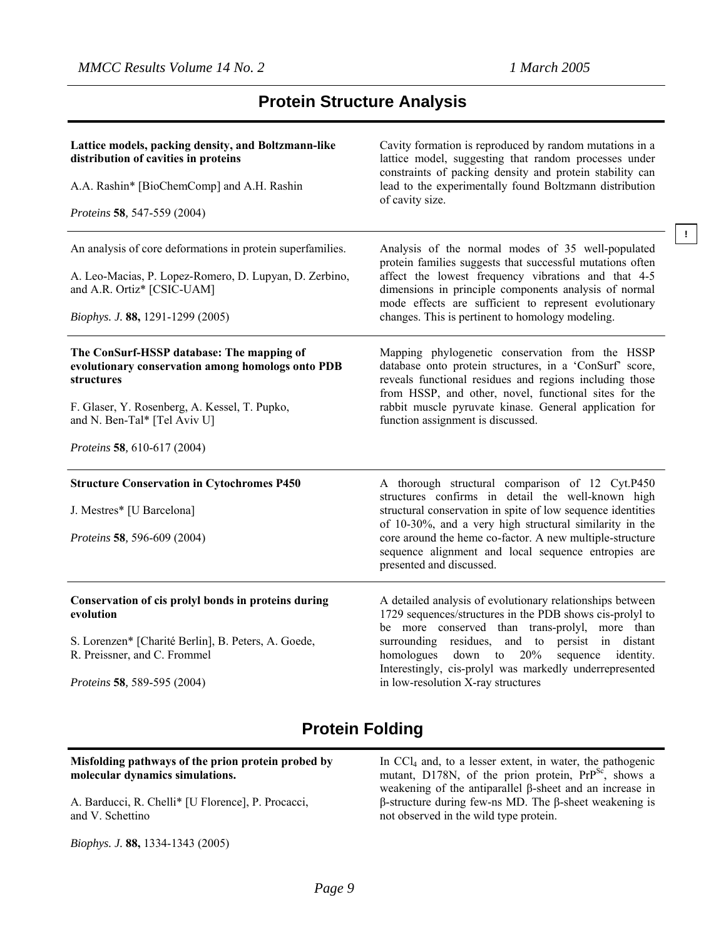**!**

### **Protein Structure Analysis**

| Lattice models, packing density, and Boltzmann-like<br>distribution of cavities in proteins<br>A.A. Rashin* [BioChemComp] and A.H. Rashin<br>Proteins 58, 547-559 (2004)                                                     | Cavity formation is reproduced by random mutations in a<br>lattice model, suggesting that random processes under<br>constraints of packing density and protein stability can<br>lead to the experimentally found Boltzmann distribution<br>of cavity size.                                                                                                                        |
|------------------------------------------------------------------------------------------------------------------------------------------------------------------------------------------------------------------------------|-----------------------------------------------------------------------------------------------------------------------------------------------------------------------------------------------------------------------------------------------------------------------------------------------------------------------------------------------------------------------------------|
| An analysis of core deformations in protein superfamilies.<br>A. Leo-Macias, P. Lopez-Romero, D. Lupyan, D. Zerbino,<br>and A.R. Ortiz* [CSIC-UAM]<br>Biophys. J. 88, 1291-1299 (2005)                                       | Analysis of the normal modes of 35 well-populated<br>protein families suggests that successful mutations often<br>affect the lowest frequency vibrations and that 4-5<br>dimensions in principle components analysis of normal<br>mode effects are sufficient to represent evolutionary<br>changes. This is pertinent to homology modeling.                                       |
| The ConSurf-HSSP database: The mapping of<br>evolutionary conservation among homologs onto PDB<br>structures<br>F. Glaser, Y. Rosenberg, A. Kessel, T. Pupko,<br>and N. Ben-Tal* [Tel Aviv U]<br>Proteins 58, 610-617 (2004) | Mapping phylogenetic conservation from the HSSP<br>database onto protein structures, in a 'ConSurf' score,<br>reveals functional residues and regions including those<br>from HSSP, and other, novel, functional sites for the<br>rabbit muscle pyruvate kinase. General application for<br>function assignment is discussed.                                                     |
| <b>Structure Conservation in Cytochromes P450</b><br>J. Mestres* [U Barcelona]<br>Proteins 58, 596-609 (2004)                                                                                                                | A thorough structural comparison of 12 Cyt.P450<br>structures confirms in detail the well-known high<br>structural conservation in spite of low sequence identities<br>of 10-30%, and a very high structural similarity in the<br>core around the heme co-factor. A new multiple-structure<br>sequence alignment and local sequence entropies are<br>presented and discussed.     |
| Conservation of cis prolyl bonds in proteins during<br>evolution<br>S. Lorenzen* [Charité Berlin], B. Peters, A. Goede,<br>R. Preissner, and C. Frommel<br>Proteins 58, 589-595 (2004)                                       | A detailed analysis of evolutionary relationships between<br>1729 sequences/structures in the PDB shows cis-prolyl to<br>be more conserved than trans-prolyl, more than<br>surrounding residues, and to persist in distant<br>down to $20\%$<br>homologues<br>sequence identity.<br>Interestingly, cis-prolyl was markedly underrepresented<br>in low-resolution X-ray structures |

### **Protein Folding**

#### **Misfolding pathways of the prion protein probed by molecular dynamics simulations.**

A. Barducci, R. Chelli\* [U Florence], P. Procacci, and V. Schettino

*Biophys. J.* **88,** 1334-1343 (2005)

In CCl4 and, to a lesser extent, in water, the pathogenic mutant, D178N, of the prion protein,  $PrP^{Sc}$ , shows a weakening of the antiparallel β-sheet and an increase in β-structure during few-ns MD. The β-sheet weakening is not observed in the wild type protein.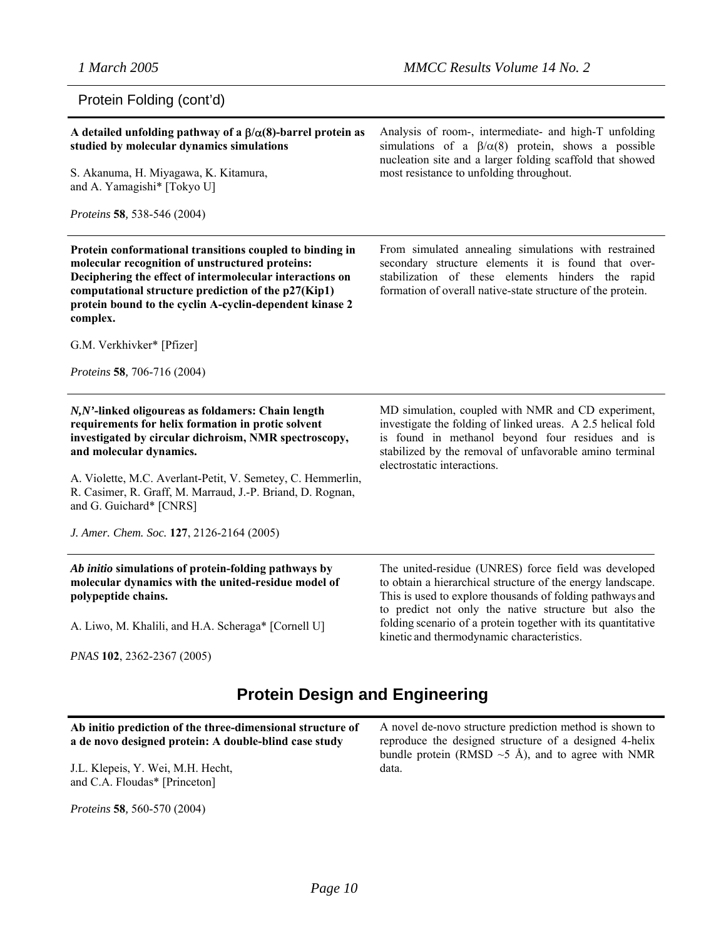$\overline{a}$ 

 $\overline{a}$ 

### Protein Folding (cont'd)

| A detailed unfolding pathway of a $\beta/\alpha(8)$ -barrel protein as<br>studied by molecular dynamics simulations<br>S. Akanuma, H. Miyagawa, K. Kitamura,<br>and A. Yamagishi* [Tokyo U]<br><i>Proteins</i> 58, 538-546 (2004)                                                                     | Analysis of room-, intermediate- and high-T unfolding<br>simulations of a $\beta/\alpha(8)$ protein, shows a possible<br>nucleation site and a larger folding scaffold that showed<br>most resistance to unfolding throughout.                                  |
|-------------------------------------------------------------------------------------------------------------------------------------------------------------------------------------------------------------------------------------------------------------------------------------------------------|-----------------------------------------------------------------------------------------------------------------------------------------------------------------------------------------------------------------------------------------------------------------|
| Protein conformational transitions coupled to binding in<br>molecular recognition of unstructured proteins:<br>Deciphering the effect of intermolecular interactions on<br>computational structure prediction of the p27(Kip1)<br>protein bound to the cyclin A-cyclin-dependent kinase 2<br>complex. | From simulated annealing simulations with restrained<br>secondary structure elements it is found that over-<br>stabilization of these elements hinders the rapid<br>formation of overall native-state structure of the protein.                                 |
| G.M. Verkhivker* [Pfizer]                                                                                                                                                                                                                                                                             |                                                                                                                                                                                                                                                                 |
| Proteins 58, 706-716 (2004)                                                                                                                                                                                                                                                                           |                                                                                                                                                                                                                                                                 |
| N,N'-linked oligoureas as foldamers: Chain length<br>requirements for helix formation in protic solvent<br>investigated by circular dichroism, NMR spectroscopy,<br>and molecular dynamics.<br>A. Violette, M.C. Averlant-Petit, V. Semetey, C. Hemmerlin,                                            | MD simulation, coupled with NMR and CD experiment,<br>investigate the folding of linked ureas. A 2.5 helical fold<br>is found in methanol beyond four residues and is<br>stabilized by the removal of unfavorable amino terminal<br>electrostatic interactions. |
| R. Casimer, R. Graff, M. Marraud, J.-P. Briand, D. Rognan,<br>and G. Guichard* [CNRS]                                                                                                                                                                                                                 |                                                                                                                                                                                                                                                                 |
| J. Amer. Chem. Soc. 127, 2126-2164 (2005)                                                                                                                                                                                                                                                             |                                                                                                                                                                                                                                                                 |
| Ab initio simulations of protein-folding pathways by<br>molecular dynamics with the united-residue model of<br>polypeptide chains.                                                                                                                                                                    | The united-residue (UNRES) force field was developed<br>to obtain a hierarchical structure of the energy landscape.<br>This is used to explore thousands of folding pathways and<br>to predict not only the native structure but also the                       |
| A. Liwo, M. Khalili, and H.A. Scheraga* [Cornell U]                                                                                                                                                                                                                                                   | folding scenario of a protein together with its quantitative<br>kinetic and thermodynamic characteristics.                                                                                                                                                      |
| PNAS 102, 2362-2367 (2005)                                                                                                                                                                                                                                                                            |                                                                                                                                                                                                                                                                 |
|                                                                                                                                                                                                                                                                                                       |                                                                                                                                                                                                                                                                 |

### **Protein Design and Engineering**

**Ab initio prediction of the three-dimensional structure of a de novo designed protein: A double-blind case study** J.L. Klepeis, Y. Wei, M.H. Hecht, and C.A. Floudas\* [Princeton] A novel de-novo structure prediction method is shown to reproduce the designed structure of a designed 4-helix bundle protein (RMSD  $\sim$ 5 Å), and to agree with NMR data.

*Proteins* **58***,* 560-570 (2004)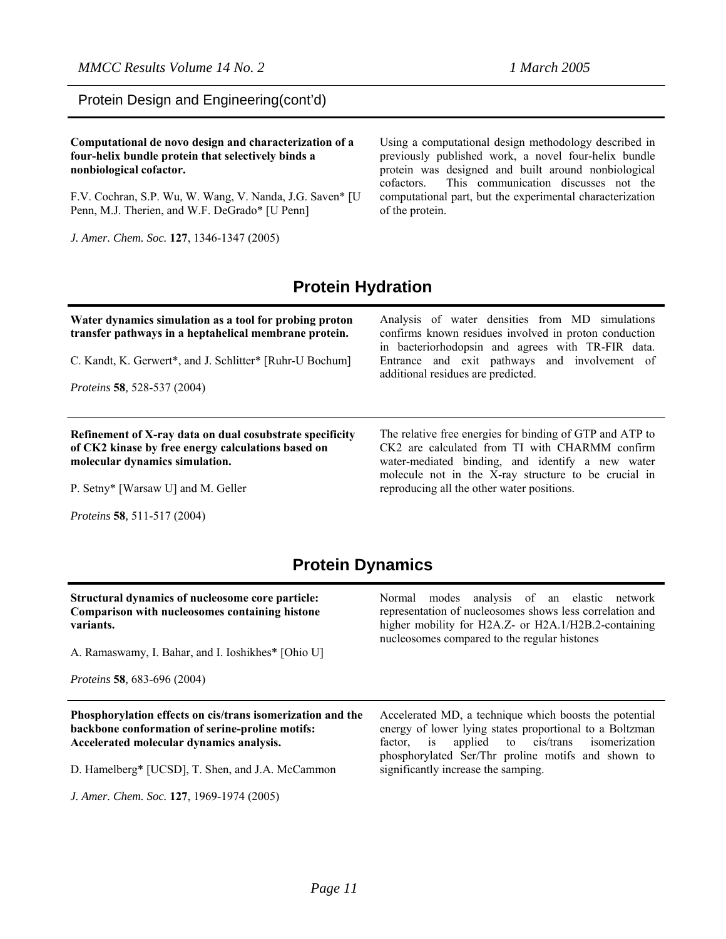#### **Computational de novo design and characterization of a four-helix bundle protein that selectively binds a nonbiological cofactor.**

F.V. Cochran, S.P. Wu, W. Wang, V. Nanda, J.G. Saven\* [U Penn, M.J. Therien, and W.F. DeGrado\* [U Penn]

*J. Amer. Chem. Soc.* **127**, 1346-1347 (2005)

Using a computational design methodology described in previously published work, a novel four-helix bundle protein was designed and built around nonbiological cofactors. This communication discusses not the computational part, but the experimental characterization of the protein.

### **Protein Hydration**

| Water dynamics simulation as a tool for probing proton<br>transfer pathways in a heptahelical membrane protein.<br>C. Kandt, K. Gerwert*, and J. Schlitter* [Ruhr-U Bochum]<br><i>Proteins</i> 58, 528-537 (2004) | Analysis of water densities from MD simulations<br>confirms known residues involved in proton conduction<br>in bacteriorhodopsin and agrees with TR-FIR data.<br>Entrance and exit pathways and involvement of<br>additional residues are predicted.                 |
|-------------------------------------------------------------------------------------------------------------------------------------------------------------------------------------------------------------------|----------------------------------------------------------------------------------------------------------------------------------------------------------------------------------------------------------------------------------------------------------------------|
| Refinement of X-ray data on dual cosubstrate specificity<br>of CK2 kinase by free energy calculations based on<br>molecular dynamics simulation.<br>P. Setny* [Warsaw U] and M. Geller                            | The relative free energies for binding of GTP and ATP to<br>CK2 are calculated from TI with CHARMM confirm<br>water-mediated binding, and identify a new water<br>molecule not in the X-ray structure to be crucial in<br>reproducing all the other water positions. |

*Proteins* **58***,* 511-517 (2004)

### **Protein Dynamics**

| Structural dynamics of nucleosome core particle:<br>Comparison with nucleosomes containing histone<br>variants.<br>A. Ramaswamy, I. Bahar, and I. Ioshikhes* [Ohio U]<br><i>Proteins</i> 58, 683-696 (2004) | Normal modes analysis of an elastic network<br>representation of nucleosomes shows less correlation and<br>higher mobility for H2A.Z- or H2A.1/H2B.2-containing<br>nucleosomes compared to the regular histones          |
|-------------------------------------------------------------------------------------------------------------------------------------------------------------------------------------------------------------|--------------------------------------------------------------------------------------------------------------------------------------------------------------------------------------------------------------------------|
|                                                                                                                                                                                                             |                                                                                                                                                                                                                          |
| Phosphorylation effects on cis/trans isomerization and the<br>backbone conformation of serine-proline motifs:<br>Accelerated molecular dynamics analysis.                                                   | Accelerated MD, a technique which boosts the potential<br>energy of lower lying states proportional to a Boltzman<br>factor, is applied to cis/trans isomerization<br>phosphorylated Ser/Thr proline motifs and shown to |
| D. Hamelberg* [UCSD], T. Shen, and J.A. McCammon<br>J. Amer. Chem. Soc. 127, 1969-1974 (2005)                                                                                                               | significantly increase the samping.                                                                                                                                                                                      |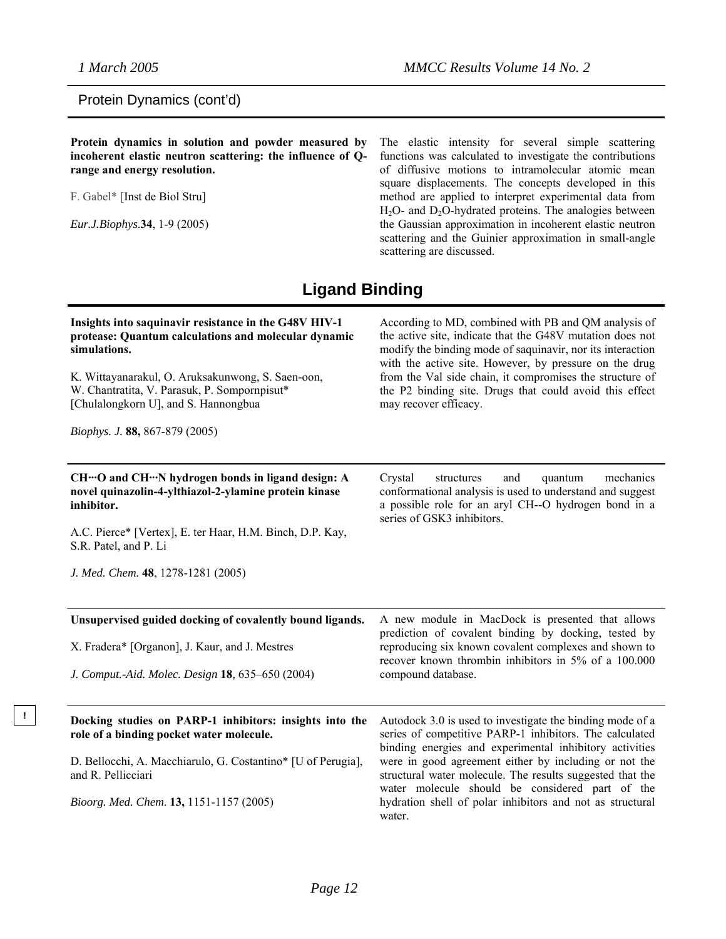#### Protein Dynamics (cont'd)

**Protein dynamics in solution and powder measured by incoherent elastic neutron scattering: the influence of Qrange and energy resolution.** 

F. Gabel\* [Inst de Biol Stru]

*Eur.J.Biophys*.**34**, 1-9 (2005)

The elastic intensity for several simple scattering functions was calculated to investigate the contributions of diffusive motions to intramolecular atomic mean square displacements. The concepts developed in this method are applied to interpret experimental data from  $H<sub>2</sub>O-$  and  $D<sub>2</sub>O$ -hydrated proteins. The analogies between the Gaussian approximation in incoherent elastic neutron scattering and the Guinier approximation in small-angle scattering are discussed.

### **Ligand Binding**

| Insights into saquinavir resistance in the G48V HIV-1<br>protease: Quantum calculations and molecular dynamic<br>simulations.<br>K. Wittayanarakul, O. Aruksakunwong, S. Saen-oon,<br>W. Chantratita, V. Parasuk, P. Sompornpisut*<br>[Chulalongkorn U], and S. Hannongbua<br>Biophys. J. 88, 867-879 (2005) | According to MD, combined with PB and QM analysis of<br>the active site, indicate that the G48V mutation does not<br>modify the binding mode of saquinavir, nor its interaction<br>with the active site. However, by pressure on the drug<br>from the Val side chain, it compromises the structure of<br>the P2 binding site. Drugs that could avoid this effect<br>may recover efficacy.                                       |
|--------------------------------------------------------------------------------------------------------------------------------------------------------------------------------------------------------------------------------------------------------------------------------------------------------------|---------------------------------------------------------------------------------------------------------------------------------------------------------------------------------------------------------------------------------------------------------------------------------------------------------------------------------------------------------------------------------------------------------------------------------|
| CH…O and CH…N hydrogen bonds in ligand design: A<br>novel quinazolin-4-ylthiazol-2-ylamine protein kinase<br>inhibitor.<br>A.C. Pierce* [Vertex], E. ter Haar, H.M. Binch, D.P. Kay,<br>S.R. Patel, and P. Li<br>J. Med. Chem. 48, 1278-1281 (2005)                                                          | and<br>mechanics<br>Crystal<br>structures<br>quantum<br>conformational analysis is used to understand and suggest<br>a possible role for an aryl CH--O hydrogen bond in a<br>series of GSK3 inhibitors.                                                                                                                                                                                                                         |
| Unsupervised guided docking of covalently bound ligands.<br>X. Fradera* [Organon], J. Kaur, and J. Mestres<br>J. Comput.-Aid. Molec. Design 18, 635-650 (2004)                                                                                                                                               | A new module in MacDock is presented that allows<br>prediction of covalent binding by docking, tested by<br>reproducing six known covalent complexes and shown to<br>recover known thrombin inhibitors in 5% of a 100.000<br>compound database.                                                                                                                                                                                 |
| Docking studies on PARP-1 inhibitors: insights into the<br>role of a binding pocket water molecule.<br>D. Bellocchi, A. Macchiarulo, G. Costantino* [U of Perugia],<br>and R. Pellicciari<br>Bioorg. Med. Chem. 13, 1151-1157 (2005)                                                                         | Autodock 3.0 is used to investigate the binding mode of a<br>series of competitive PARP-1 inhibitors. The calculated<br>binding energies and experimental inhibitory activities<br>were in good agreement either by including or not the<br>structural water molecule. The results suggested that the<br>water molecule should be considered part of the<br>hydration shell of polar inhibitors and not as structural<br>water. |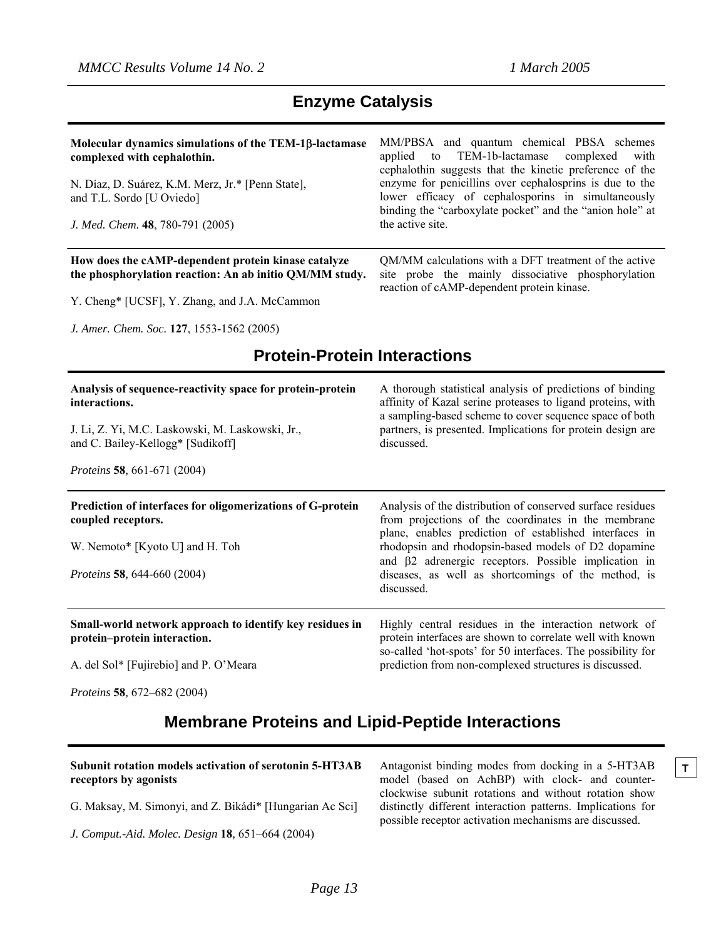| Molecular dynamics simulations of the TEM-1β-lactamase<br>complexed with cephalothin.<br>N. Díaz, D. Suárez, K.M. Merz, Jr.* [Penn State],<br>and T.L. Sordo [U Oviedo]<br>J. Med. Chem. 48, 780-791 (2005)  | MM/PBSA and quantum chemical PBSA schemes<br>TEM-1b-lactamase<br>applied<br>complexed<br>with<br>to<br>cephalothin suggests that the kinetic preference of the<br>enzyme for penicillins over cephalosprins is due to the<br>lower efficacy of cephalosporins in simultaneously<br>binding the "carboxylate pocket" and the "anion hole" at<br>the active site.        |
|--------------------------------------------------------------------------------------------------------------------------------------------------------------------------------------------------------------|------------------------------------------------------------------------------------------------------------------------------------------------------------------------------------------------------------------------------------------------------------------------------------------------------------------------------------------------------------------------|
| How does the cAMP-dependent protein kinase catalyze<br>the phosphorylation reaction: An ab initio QM/MM study.<br>Y. Cheng* [UCSF], Y. Zhang, and J.A. McCammon<br>J. Amer. Chem. Soc. 127, 1553-1562 (2005) | QM/MM calculations with a DFT treatment of the active<br>site probe the mainly dissociative phosphorylation<br>reaction of cAMP-dependent protein kinase.                                                                                                                                                                                                              |
| <b>Protein-Protein Interactions</b>                                                                                                                                                                          |                                                                                                                                                                                                                                                                                                                                                                        |
| Analysis of sequence-reactivity space for protein-protein<br>interactions.<br>J. Li, Z. Yi, M.C. Laskowski, M. Laskowski, Jr.,<br>and C. Bailey-Kellogg* [Sudikoff]<br>Proteins 58, 661-671 (2004)           | A thorough statistical analysis of predictions of binding<br>affinity of Kazal serine proteases to ligand proteins, with<br>a sampling-based scheme to cover sequence space of both<br>partners, is presented. Implications for protein design are<br>discussed.                                                                                                       |
| Prediction of interfaces for oligomerizations of G-protein<br>coupled receptors.<br>W. Nemoto* [Kyoto U] and H. Toh<br>Proteins 58, 644-660 (2004)                                                           | Analysis of the distribution of conserved surface residues<br>from projections of the coordinates in the membrane<br>plane, enables prediction of established interfaces in<br>rhodopsin and rhodopsin-based models of D2 dopamine<br>and $\beta$ 2 adrenergic receptors. Possible implication in<br>diseases, as well as shortcomings of the method, is<br>discussed. |
| Small-world network approach to identify key residues in<br>protein-protein interaction.<br>A. del Sol* [Fujirebio] and P. O'Meara<br>Proteins 58, 672-682 (2004)                                            | Highly central residues in the interaction network of<br>protein interfaces are shown to correlate well with known<br>so-called 'hot-spots' for 50 interfaces. The possibility for<br>prediction from non-complexed structures is discussed.                                                                                                                           |

### **Enzyme Catalysis**

**Membrane Proteins and Lipid-Peptide Interactions** 

| Subunit rotation models activation of serotonin 5-HT3AB<br>receptors by agonists | Antagonist binding modes from docking in a 5-HT3AB<br>model (based on AchBP) with clock- and counter-                                                                                                                        |  |
|----------------------------------------------------------------------------------|------------------------------------------------------------------------------------------------------------------------------------------------------------------------------------------------------------------------------|--|
|                                                                                  | clockwise subunit rotations and without rotation show                                                                                                                                                                        |  |
| G. Maksay, M. Simonyi, and Z. Bikádi* [Hungarian Ac Sci]                         | distinctly different interaction patterns. Implications for<br>$\frac{1}{2}$ , $\frac{1}{2}$ , $\frac{1}{2}$ , $\frac{1}{2}$ , $\frac{1}{2}$ , $\frac{1}{2}$ , $\frac{1}{2}$ , $\frac{1}{2}$ , $\frac{1}{2}$ , $\frac{1}{2}$ |  |

*J. Comput.-Aid. Molec. Design* **18***,* 651–664 (2004)

model (based on AchBP) with clock- and counterclockwise subunit rotations and without rotation show distinctly different interaction patterns. Implications for possible receptor activation mechanisms are discussed.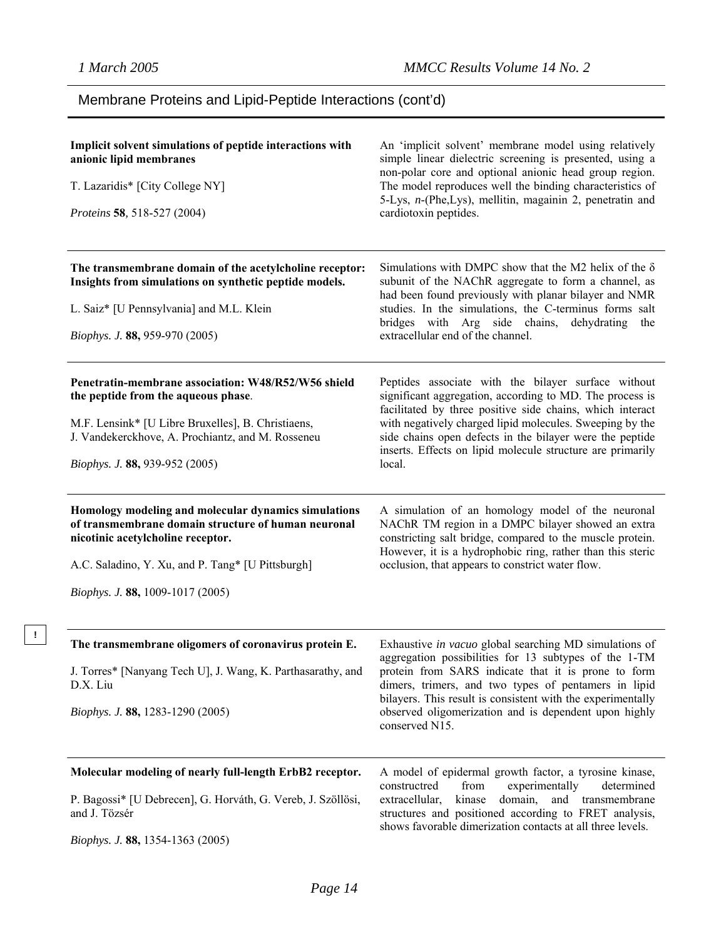**!** 

### Membrane Proteins and Lipid-Peptide Interactions (cont'd)

| Implicit solvent simulations of peptide interactions with<br>anionic lipid membranes<br>T. Lazaridis* [City College NY]<br>Proteins 58, 518-527 (2004)                                                                                    | An 'implicit solvent' membrane model using relatively<br>simple linear dielectric screening is presented, using a<br>non-polar core and optional anionic head group region.<br>The model reproduces well the binding characteristics of<br>5-Lys, n-(Phe,Lys), mellitin, magainin 2, penetratin and<br>cardiotoxin peptides.                                                 |
|-------------------------------------------------------------------------------------------------------------------------------------------------------------------------------------------------------------------------------------------|------------------------------------------------------------------------------------------------------------------------------------------------------------------------------------------------------------------------------------------------------------------------------------------------------------------------------------------------------------------------------|
| The transmembrane domain of the acetylcholine receptor:<br>Insights from simulations on synthetic peptide models.<br>L. Saiz* [U Pennsylvania] and M.L. Klein<br>Biophys. J. 88, 959-970 (2005)                                           | Simulations with DMPC show that the M2 helix of the $\delta$<br>subunit of the NAChR aggregate to form a channel, as<br>had been found previously with planar bilayer and NMR<br>studies. In the simulations, the C-terminus forms salt<br>bridges with Arg side chains, dehydrating the<br>extracellular end of the channel.                                                |
| Penetratin-membrane association: W48/R52/W56 shield<br>the peptide from the aqueous phase.<br>M.F. Lensink* [U Libre Bruxelles], B. Christiaens,<br>J. Vandekerckhove, A. Prochiantz, and M. Rosseneu<br>Biophys. J. 88, 939-952 (2005)   | Peptides associate with the bilayer surface without<br>significant aggregation, according to MD. The process is<br>facilitated by three positive side chains, which interact<br>with negatively charged lipid molecules. Sweeping by the<br>side chains open defects in the bilayer were the peptide<br>inserts. Effects on lipid molecule structure are primarily<br>local. |
| Homology modeling and molecular dynamics simulations<br>of transmembrane domain structure of human neuronal<br>nicotinic acetylcholine receptor.<br>A.C. Saladino, Y. Xu, and P. Tang* [U Pittsburgh]<br>Biophys. J. 88, 1009-1017 (2005) | A simulation of an homology model of the neuronal<br>NAChR TM region in a DMPC bilayer showed an extra<br>constricting salt bridge, compared to the muscle protein.<br>However, it is a hydrophobic ring, rather than this steric<br>occlusion, that appears to constrict water flow.                                                                                        |
| The transmembrane oligomers of coronavirus protein E.<br>J. Torres* [Nanyang Tech U], J. Wang, K. Parthasarathy, and<br>D.X. Liu<br>Biophys. J. 88, 1283-1290 (2005)                                                                      | Exhaustive in vacuo global searching MD simulations of<br>aggregation possibilities for 13 subtypes of the 1-TM<br>protein from SARS indicate that it is prone to form<br>dimers, trimers, and two types of pentamers in lipid<br>bilayers. This result is consistent with the experimentally<br>observed oligomerization and is dependent upon highly<br>conserved N15.     |
| Molecular modeling of nearly full-length ErbB2 receptor.<br>P. Bagossi* [U Debrecen], G. Horváth, G. Vereb, J. Szöllösi,<br>and J. Tözsér<br>Biophys. J. 88, 1354-1363 (2005)                                                             | A model of epidermal growth factor, a tyrosine kinase,<br>from<br>experimentally<br>constructred<br>determined<br>extracellular,<br>kinase<br>domain,<br>and transmembrane<br>structures and positioned according to FRET analysis,<br>shows favorable dimerization contacts at all three levels.                                                                            |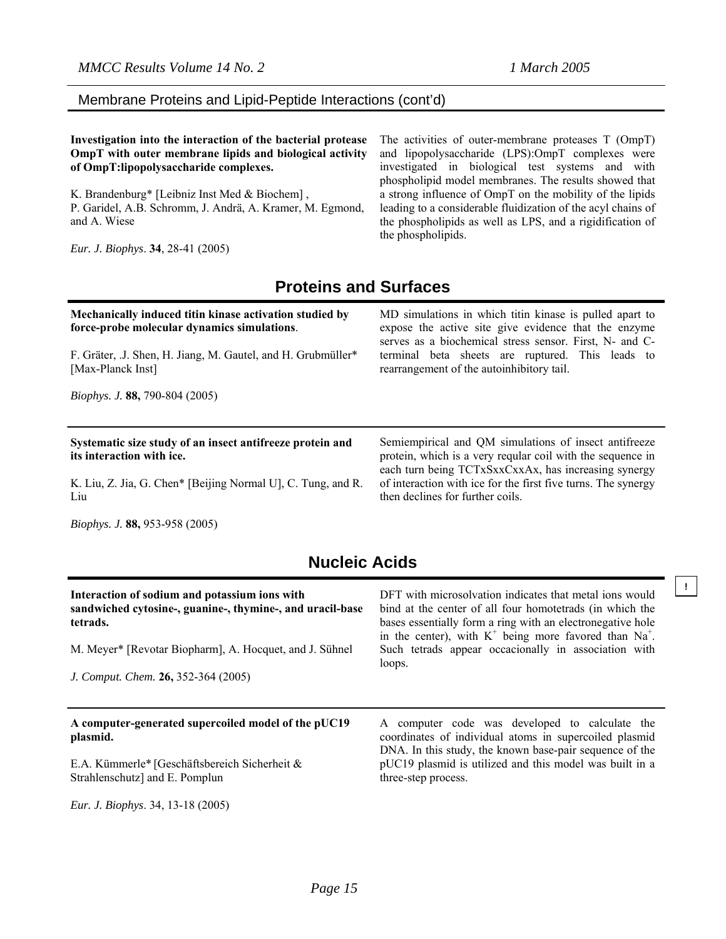**!**

#### Membrane Proteins and Lipid-Peptide Interactions (cont'd)

**Investigation into the interaction of the bacterial protease OmpT with outer membrane lipids and biological activity of OmpT:lipopolysaccharide complexes.** 

K. Brandenburg\* [Leibniz Inst Med & Biochem] , P. Garidel, A.B. Schromm, J. Andrä, A. Kramer, M. Egmond, and A. Wiese

*Eur. J. Biophys*. **34**, 28-41 (2005)

The activities of outer-membrane proteases T (OmpT) and lipopolysaccharide (LPS):OmpT complexes were investigated in biological test systems and with phospholipid model membranes. The results showed that a strong influence of OmpT on the mobility of the lipids leading to a considerable fluidization of the acyl chains of the phospholipids as well as LPS, and a rigidification of the phospholipids.

### **Proteins and Surfaces**

| Mechanically induced titin kinase activation studied by<br>force-probe molecular dynamics simulations.<br>F. Gräter, J. Shen, H. Jiang, M. Gautel, and H. Grubmüller*<br>[Max-Planck Inst]<br><i>Biophys. J.</i> 88, 790-804 (2005) | MD simulations in which titin kinase is pulled apart to<br>expose the active site give evidence that the enzyme<br>serves as a biochemical stress sensor. First, N- and C-<br>terminal beta sheets are ruptured. This leads to<br>rearrangement of the autoinhibitory tail. |
|-------------------------------------------------------------------------------------------------------------------------------------------------------------------------------------------------------------------------------------|-----------------------------------------------------------------------------------------------------------------------------------------------------------------------------------------------------------------------------------------------------------------------------|
| Systematic size study of an insect antifreeze protein and<br>its interaction with ice.                                                                                                                                              | Semiempirical and QM simulations of insect antifreeze                                                                                                                                                                                                                       |
| K. Liu, Z. Jia, G. Chen* [Beijing Normal U], C. Tung, and R.<br>Liu                                                                                                                                                                 | protein, which is a very reqular coil with the sequence in<br>each turn being TCTxSxxCxxAx, has increasing synergy<br>of interaction with ice for the first five turns. The synergy<br>then declines for further coils.                                                     |

### **Nucleic Acids**

| Interaction of sodium and potassium ions with<br>sandwiched cytosine-, guanine-, thymine-, and uracil-base<br>tetrads.<br>M. Meyer* [Revotar Biopharm], A. Hocquet, and J. Sühnel<br>J. Comput. Chem. 26, 352-364 (2005) | DFT with microsolvation indicates that metal ions would<br>bind at the center of all four homotetrads (in which the<br>bases essentially form a ring with an electronegative hole<br>in the center), with $K^+$ being more favored than Na <sup>+</sup> .<br>Such tetrads appear occacionally in association with<br>loops. |
|--------------------------------------------------------------------------------------------------------------------------------------------------------------------------------------------------------------------------|-----------------------------------------------------------------------------------------------------------------------------------------------------------------------------------------------------------------------------------------------------------------------------------------------------------------------------|
| A computer-generated supercoiled model of the pUC19<br>plasmid.                                                                                                                                                          | A computer code was developed to calculate the<br>coordinates of individual atoms in supercoiled plasmid<br>DNA. In this study, the known base-pair sequence of the                                                                                                                                                         |
| E.A. Kümmerle* [Geschäftsbereich Sicherheit &<br>Strahlenschutz] and E. Pomplun                                                                                                                                          | pUC19 plasmid is utilized and this model was built in a<br>three-step process.                                                                                                                                                                                                                                              |
| Eur. J. Biophys. 34, 13-18 (2005)                                                                                                                                                                                        |                                                                                                                                                                                                                                                                                                                             |

*Page 15*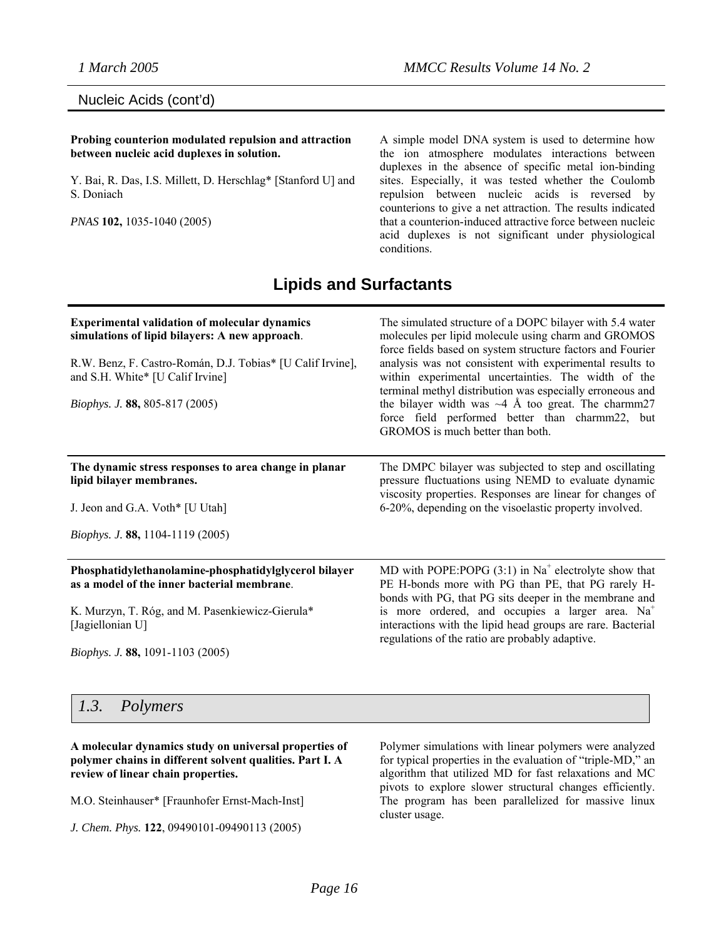Nucleic Acids (cont'd)

#### **Probing counterion modulated repulsion and attraction between nucleic acid duplexes in solution.**

Y. Bai, R. Das, I.S. Millett, D. Herschlag\* [Stanford U] and S. Doniach

*PNAS* **102,** 1035-1040 (2005)

A simple model DNA system is used to determine how the ion atmosphere modulates interactions between duplexes in the absence of specific metal ion-binding sites. Especially, it was tested whether the Coulomb repulsion between nucleic acids is reversed by counterions to give a net attraction. The results indicated that a counterion-induced attractive force between nucleic acid duplexes is not significant under physiological conditions.

### **Lipids and Surfactants**

| <b>Experimental validation of molecular dynamics</b><br>simulations of lipid bilayers: A new approach.<br>R.W. Benz, F. Castro-Román, D.J. Tobias* [U Calif Irvine],<br>and S.H. White* [U Calif Irvine]<br><i>Biophys. J.</i> 88, 805-817 (2005) | The simulated structure of a DOPC bilayer with 5.4 water<br>molecules per lipid molecule using charm and GROMOS<br>force fields based on system structure factors and Fourier<br>analysis was not consistent with experimental results to<br>within experimental uncertainties. The width of the<br>terminal methyl distribution was especially erroneous and<br>the bilayer width was $\sim$ 4 Å too great. The charmm27<br>force field performed better than charmm22, but<br>GROMOS is much better than both. |
|---------------------------------------------------------------------------------------------------------------------------------------------------------------------------------------------------------------------------------------------------|------------------------------------------------------------------------------------------------------------------------------------------------------------------------------------------------------------------------------------------------------------------------------------------------------------------------------------------------------------------------------------------------------------------------------------------------------------------------------------------------------------------|
| The dynamic stress responses to area change in planar<br>lipid bilayer membranes.<br>J. Jeon and G.A. Voth* [U Utah]                                                                                                                              | The DMPC bilayer was subjected to step and oscillating<br>pressure fluctuations using NEMD to evaluate dynamic<br>viscosity properties. Responses are linear for changes of<br>6-20%, depending on the visoelastic property involved.                                                                                                                                                                                                                                                                            |
| <i>Biophys. J.</i> 88, 1104-1119 (2005)                                                                                                                                                                                                           |                                                                                                                                                                                                                                                                                                                                                                                                                                                                                                                  |
| Phosphatidylethanolamine-phosphatidylglycerol bilayer<br>as a model of the inner bacterial membrane.                                                                                                                                              | MD with POPE:POPG $(3:1)$ in Na <sup>+</sup> electrolyte show that<br>PE H-bonds more with PG than PE, that PG rarely H-<br>bonds with PG, that PG sits deeper in the membrane and                                                                                                                                                                                                                                                                                                                               |
| K. Murzyn, T. Róg, and M. Pasenkiewicz-Gierula*<br>[Jagiellonian U]                                                                                                                                                                               | is more ordered, and occupies a larger area. Na <sup>+</sup><br>interactions with the lipid head groups are rare. Bacterial<br>regulations of the ratio are probably adaptive.                                                                                                                                                                                                                                                                                                                                   |
| Biophys. J. 88, 1091-1103 (2005)                                                                                                                                                                                                                  |                                                                                                                                                                                                                                                                                                                                                                                                                                                                                                                  |

### *1.3. Polymers*

#### **A molecular dynamics study on universal properties of polymer chains in different solvent qualities. Part I. A review of linear chain properties.**

M.O. Steinhauser\* [Fraunhofer Ernst-Mach-Inst]

*J. Chem. Phys.* **122**, 09490101-09490113 (2005)

Polymer simulations with linear polymers were analyzed for typical properties in the evaluation of "triple-MD," an algorithm that utilized MD for fast relaxations and MC pivots to explore slower structural changes efficiently. The program has been parallelized for massive linux cluster usage.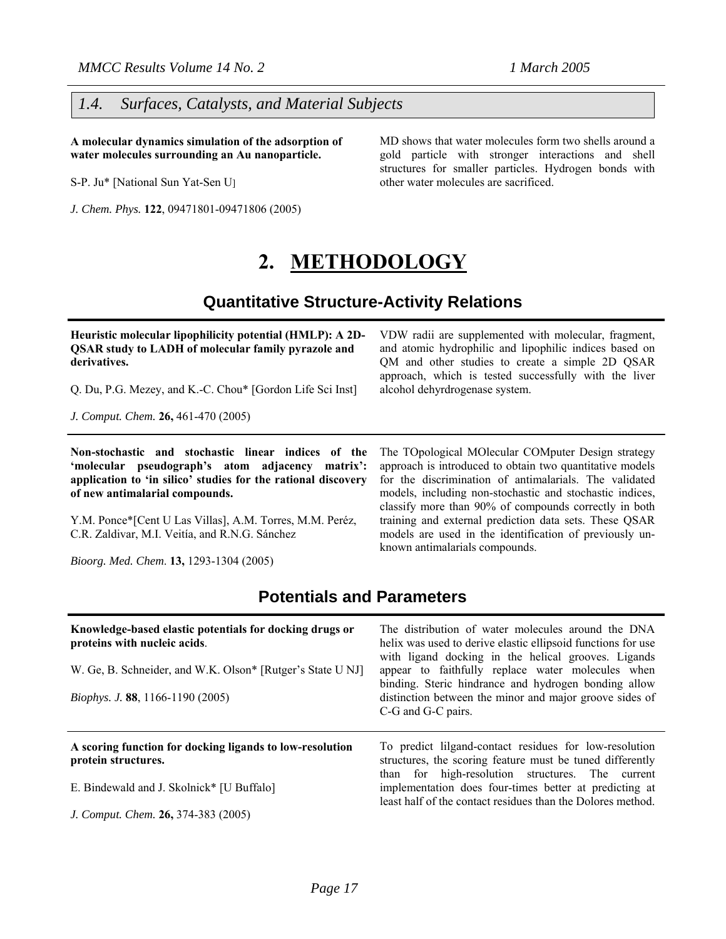#### *1.4. Surfaces, Catalysts, and Material Subjects*

**A molecular dynamics simulation of the adsorption of water molecules surrounding an Au nanoparticle.** 

S-P. Ju\* [National Sun Yat-Sen U]

*J. Chem. Phys.* **122**, 09471801-09471806 (2005)

MD shows that water molecules form two shells around a gold particle with stronger interactions and shell structures for smaller particles. Hydrogen bonds with other water molecules are sacrificed.

VDW radii are supplemented with molecular, fragment, and atomic hydrophilic and lipophilic indices based on QM and other studies to create a simple 2D QSAR approach, which is tested successfully with the liver

The TOpological MOlecular COMputer Design strategy approach is introduced to obtain two quantitative models for the discrimination of antimalarials. The validated models, including non-stochastic and stochastic indices, classify more than 90% of compounds correctly in both training and external prediction data sets. These QSAR models are used in the identification of previously un-

alcohol dehyrdrogenase system.

known antimalarials compounds.

### **2. METHODOLOGY**

### **Quantitative Structure-Activity Relations**

| Heuristic molecular lipophilicity potential (HMLP): A 2D-  |
|------------------------------------------------------------|
| <b>QSAR</b> study to LADH of molecular family pyrazole and |
| derivatives.                                               |

Q. Du, P.G. Mezey, and K.-C. Chou\* [Gordon Life Sci Inst]

*J. Comput. Chem.* **26,** 461-470 (2005)

**Non-stochastic and stochastic linear indices of the 'molecular pseudograph's atom adjacency matrix': application to 'in silico' studies for the rational discovery of new antimalarial compounds.** 

Y.M. Ponce\*[Cent U Las Villas], A.M. Torres, M.M. Peréz, C.R. Zaldivar, M.I. Veitía, and R.N.G. Sánchez

*Bioorg. Med. Chem*. **13,** 1293-1304 (2005)

# **Potentials and Parameters**

| Knowledge-based elastic potentials for docking drugs or<br>proteins with nucleic acids.<br>W. Ge, B. Schneider, and W.K. Olson* [Rutger's State U NJ]<br>Biophys. J. 88, 1166-1190 (2005) | The distribution of water molecules around the DNA<br>helix was used to derive elastic ellipsoid functions for use<br>with ligand docking in the helical grooves. Ligands<br>appear to faithfully replace water molecules when<br>binding. Steric hindrance and hydrogen bonding allow<br>distinction between the minor and major groove sides of<br>C-G and G-C pairs. |
|-------------------------------------------------------------------------------------------------------------------------------------------------------------------------------------------|-------------------------------------------------------------------------------------------------------------------------------------------------------------------------------------------------------------------------------------------------------------------------------------------------------------------------------------------------------------------------|
| A scoring function for docking ligands to low-resolution<br>protein structures.                                                                                                           | To predict lilgand-contact residues for low-resolution<br>structures, the scoring feature must be tuned differently<br>than for high-resolution structures. The current                                                                                                                                                                                                 |
| E. Bindewald and J. Skolnick* [U Buffalo]                                                                                                                                                 | implementation does four-times better at predicting at<br>least half of the contact residues than the Dolores method.                                                                                                                                                                                                                                                   |
| J. Comput. Chem. 26, 374-383 (2005)                                                                                                                                                       |                                                                                                                                                                                                                                                                                                                                                                         |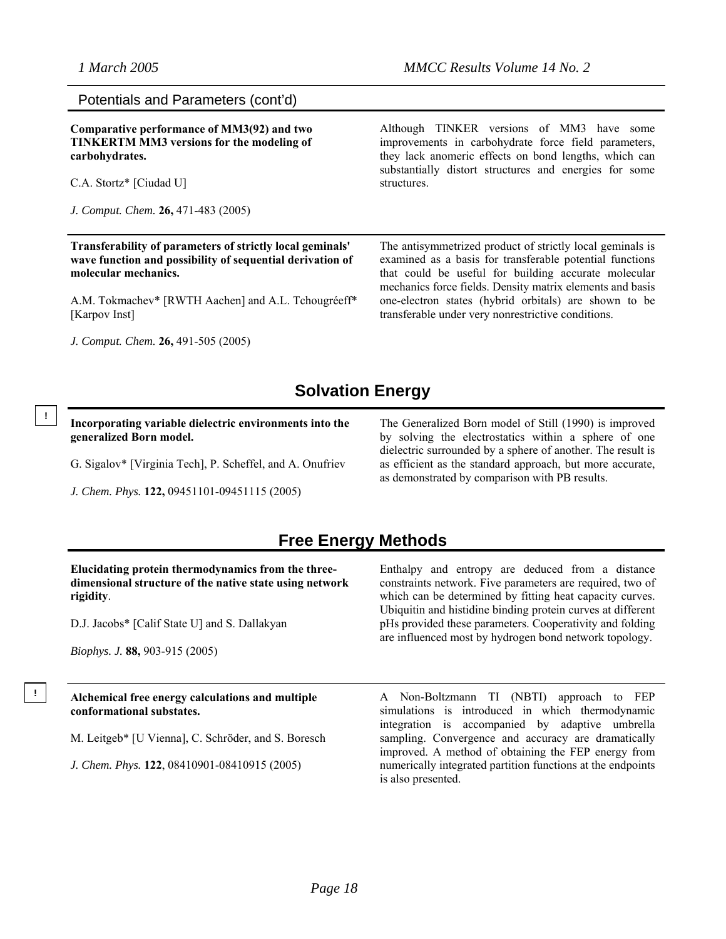#### Potentials and Parameters (cont'd)

**Comparative performance of MM3(92) and two TINKERTM MM3 versions for the modeling of carbohydrates.** 

C.A. Stortz\* [Ciudad U]

**!** 

*J. Comput. Chem.* **26,** 471-483 (2005)

**Transferability of parameters of strictly local geminals' wave function and possibility of sequential derivation of molecular mechanics.** 

A.M. Tokmachev\* [RWTH Aachen] and A.L. Tchougréeff\* [Karpov Inst]

*J. Comput. Chem.* **26,** 491-505 (2005)

Although TINKER versions of MM3 have some improvements in carbohydrate force field parameters, they lack anomeric effects on bond lengths, which can substantially distort structures and energies for some structures.

The antisymmetrized product of strictly local geminals is examined as a basis for transferable potential functions that could be useful for building accurate molecular mechanics force fields. Density matrix elements and basis one-electron states (hybrid orbitals) are shown to be transferable under very nonrestrictive conditions.

### **Solvation Energy**

**Incorporating variable dielectric environments into the generalized Born model.** 

G. Sigalov\* [Virginia Tech], P. Scheffel, and A. Onufriev

*J. Chem. Phys.* **122,** 09451101-09451115 (2005)

The Generalized Born model of Still (1990) is improved by solving the electrostatics within a sphere of one dielectric surrounded by a sphere of another. The result is as efficient as the standard approach, but more accurate, as demonstrated by comparison with PB results.

### **Free Energy Methods**

| Elucidating protein thermodynamics from the three-      |
|---------------------------------------------------------|
| dimensional structure of the native state using network |
| rigidity.                                               |

D.J. Jacobs\* [Calif State U] and S. Dallakyan

*Biophys. J.* **88,** 903-915 (2005)

### **! Alchemical free energy calculations and multiple conformational substates.**

M. Leitgeb\* [U Vienna], C. Schröder, and S. Boresch

*J. Chem. Phys.* **122**, 08410901-08410915 (2005)

Enthalpy and entropy are deduced from a distance constraints network. Five parameters are required, two of which can be determined by fitting heat capacity curves. Ubiquitin and histidine binding protein curves at different pHs provided these parameters. Cooperativity and folding are influenced most by hydrogen bond network topology.

A Non-Boltzmann TI (NBTI) approach to FEP simulations is introduced in which thermodynamic integration is accompanied by adaptive umbrella sampling. Convergence and accuracy are dramatically improved. A method of obtaining the FEP energy from numerically integrated partition functions at the endpoints is also presented.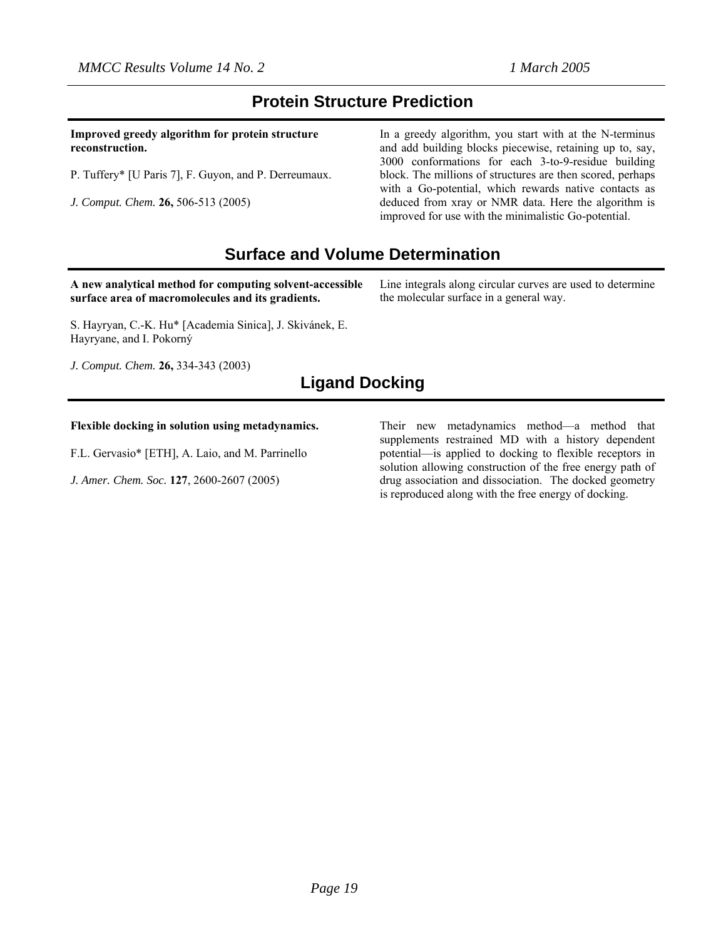### **Protein Structure Prediction**

**Improved greedy algorithm for protein structure reconstruction.** 

P. Tuffery\* [U Paris 7], F. Guyon, and P. Derreumaux.

*J. Comput. Chem.* **26,** 506-513 (2005)

In a greedy algorithm, you start with at the N-terminus and add building blocks piecewise, retaining up to, say, 3000 conformations for each 3-to-9-residue building block. The millions of structures are then scored, perhaps with a Go-potential, which rewards native contacts as deduced from xray or NMR data. Here the algorithm is improved for use with the minimalistic Go-potential.

Line integrals along circular curves are used to determine

the molecular surface in a general way.

### **Surface and Volume Determination**

**A new analytical method for computing solvent-accessible surface area of macromolecules and its gradients.**

S. Hayryan, C.-K. Hu\* [Academia Sinica], J. Skivánek, E. Hayryane, and I. Pokorný

*J. Comput. Chem.* **26,** 334-343 (2003)

### **Ligand Docking**

#### **Flexible docking in solution using metadynamics.**

F.L. Gervasio\* [ETH], A. Laio, and M. Parrinello

*J. Amer. Chem. Soc.* **127**, 2600-2607 (2005)

Their new metadynamics method—a method that supplements restrained MD with a history dependent potential—is applied to docking to flexible receptors in solution allowing construction of the free energy path of drug association and dissociation. The docked geometry is reproduced along with the free energy of docking.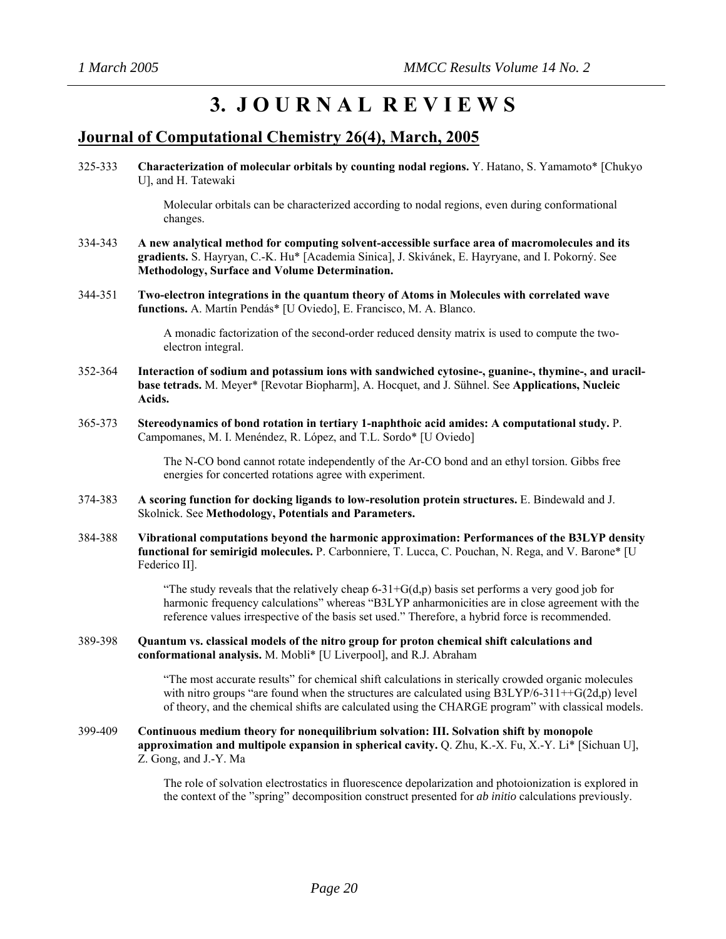## **3. J O U R N A L R E V I E W S**

### **Journal of Computational Chemistry 26(4), March, 2005**

325-333 **Characterization of molecular orbitals by counting nodal regions.** Y. Hatano, S. Yamamoto\* [Chukyo U], and H. Tatewaki

> Molecular orbitals can be characterized according to nodal regions, even during conformational changes.

- 334-343 **A new analytical method for computing solvent-accessible surface area of macromolecules and its gradients.** S. Hayryan, C.-K. Hu\* [Academia Sinica], J. Skivánek, E. Hayryane, and I. Pokorný. See **Methodology, Surface and Volume Determination.**
- 344-351 **Two-electron integrations in the quantum theory of Atoms in Molecules with correlated wave functions.** A. Martín Pendás\* [U Oviedo], E. Francisco, M. A. Blanco.

A monadic factorization of the second-order reduced density matrix is used to compute the twoelectron integral.

- 352-364 **Interaction of sodium and potassium ions with sandwiched cytosine-, guanine-, thymine-, and uracilbase tetrads.** M. Meyer\* [Revotar Biopharm], A. Hocquet, and J. Sühnel. See **Applications, Nucleic Acids.**
- 365-373 **Stereodynamics of bond rotation in tertiary 1-naphthoic acid amides: A computational study.** P. Campomanes, M. I. Menéndez, R. López, and T.L. Sordo\* [U Oviedo]

The N-CO bond cannot rotate independently of the Ar-CO bond and an ethyl torsion. Gibbs free energies for concerted rotations agree with experiment.

- 374-383 **A scoring function for docking ligands to low-resolution protein structures.** E. Bindewald and J. Skolnick. See **Methodology, Potentials and Parameters.**
- 384-388 **Vibrational computations beyond the harmonic approximation: Performances of the B3LYP density functional for semirigid molecules.** P. Carbonniere, T. Lucca, C. Pouchan, N. Rega, and V. Barone\* [U Federico II].

"The study reveals that the relatively cheap  $6-31+G(d,p)$  basis set performs a very good job for harmonic frequency calculations" whereas "B3LYP anharmonicities are in close agreement with the reference values irrespective of the basis set used." Therefore, a hybrid force is recommended.

389-398 **Quantum vs. classical models of the nitro group for proton chemical shift calculations and conformational analysis.** M. Mobli\* [U Liverpool], and R.J. Abraham

> "The most accurate results" for chemical shift calculations in sterically crowded organic molecules with nitro groups "are found when the structures are calculated using  $B3LYP/6-311++G(2d,p)$  level of theory, and the chemical shifts are calculated using the CHARGE program" with classical models.

399-409 **Continuous medium theory for nonequilibrium solvation: III. Solvation shift by monopole approximation and multipole expansion in spherical cavity.** Q. Zhu, K.-X. Fu, X.-Y. Li\* [Sichuan U], Z. Gong, and J.-Y. Ma

> The role of solvation electrostatics in fluorescence depolarization and photoionization is explored in the context of the "spring" decomposition construct presented for *ab initio* calculations previously.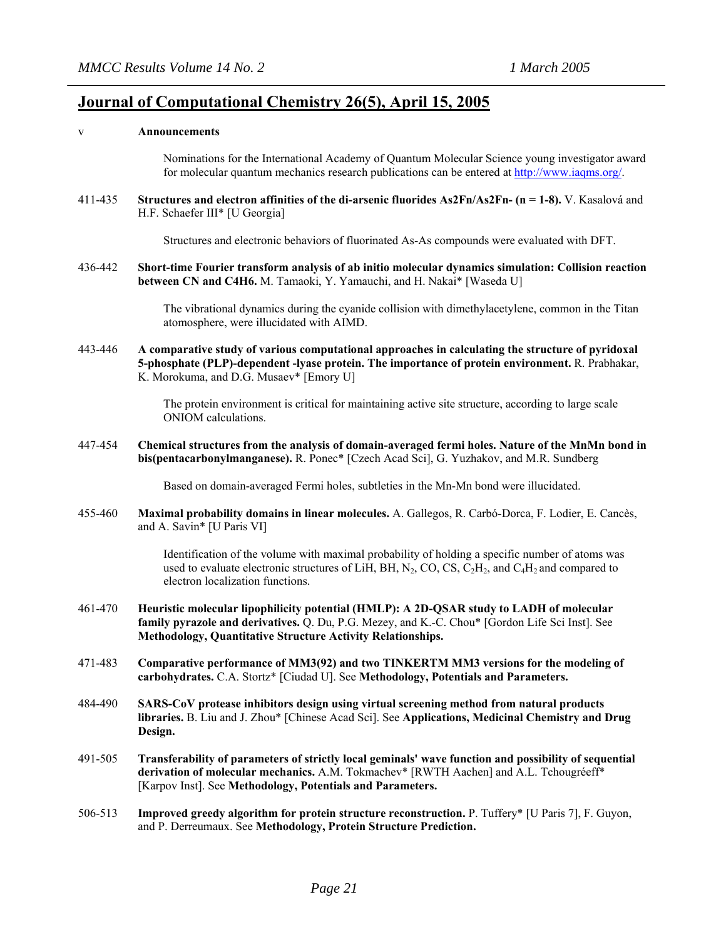### **Journal of Computational Chemistry 26(5), April 15, 2005**

#### v **Announcements**

Nominations for the International Academy of Quantum Molecular Science young investigator award for molecular quantum mechanics research publications can be entered at [http://www.iaqms.org/.](http://www.iaqms.org/)

411-435 **Structures and electron affinities of the di-arsenic fluorides As2Fn/As2Fn- (n = 1-8).** V. Kasalová and H.F. Schaefer III\* [U Georgia]

Structures and electronic behaviors of fluorinated As-As compounds were evaluated with DFT.

436-442 **Short-time Fourier transform analysis of ab initio molecular dynamics simulation: Collision reaction between CN and C4H6.** M. Tamaoki, Y. Yamauchi, and H. Nakai\* [Waseda U]

> The vibrational dynamics during the cyanide collision with dimethylacetylene, common in the Titan atomosphere, were illucidated with AIMD.

443-446 **A comparative study of various computational approaches in calculating the structure of pyridoxal 5-phosphate (PLP)-dependent -lyase protein. The importance of protein environment.** R. Prabhakar, K. Morokuma, and D.G. Musaev\* [Emory U]

> The protein environment is critical for maintaining active site structure, according to large scale ONIOM calculations.

447-454 **Chemical structures from the analysis of domain-averaged fermi holes. Nature of the MnMn bond in bis(pentacarbonylmanganese).** R. Ponec\* [Czech Acad Sci], G. Yuzhakov, and M.R. Sundberg

Based on domain-averaged Fermi holes, subtleties in the Mn-Mn bond were illucidated.

455-460 **Maximal probability domains in linear molecules.** A. Gallegos, R. Carbó-Dorca, F. Lodier, E. Cancès, and A. Savin\* [U Paris VI]

> Identification of the volume with maximal probability of holding a specific number of atoms was used to evaluate electronic structures of LiH, BH, N<sub>2</sub>, CO, CS,  $C_2H_2$ , and  $C_4H_2$  and compared to electron localization functions.

- 461-470 **Heuristic molecular lipophilicity potential (HMLP): A 2D-QSAR study to LADH of molecular family pyrazole and derivatives.** Q. Du, P.G. Mezey, and K.-C. Chou\* [Gordon Life Sci Inst]. See **Methodology, Quantitative Structure Activity Relationships.**
- 471-483 **Comparative performance of MM3(92) and two TINKERTM MM3 versions for the modeling of carbohydrates.** C.A. Stortz\* [Ciudad U]. See **Methodology, Potentials and Parameters.**
- 484-490 **SARS-CoV protease inhibitors design using virtual screening method from natural products libraries.** B. Liu and J. Zhou\* [Chinese Acad Sci]. See **Applications, Medicinal Chemistry and Drug Design.**
- 491-505 **Transferability of parameters of strictly local geminals' wave function and possibility of sequential derivation of molecular mechanics.** A.M. Tokmachev\* [RWTH Aachen] and A.L. Tchougréeff\* [Karpov Inst]. See **Methodology, Potentials and Parameters.**
- 506-513 **Improved greedy algorithm for protein structure reconstruction.** P. Tuffery\* [U Paris 7], F. Guyon, and P. Derreumaux. See **Methodology, Protein Structure Prediction.**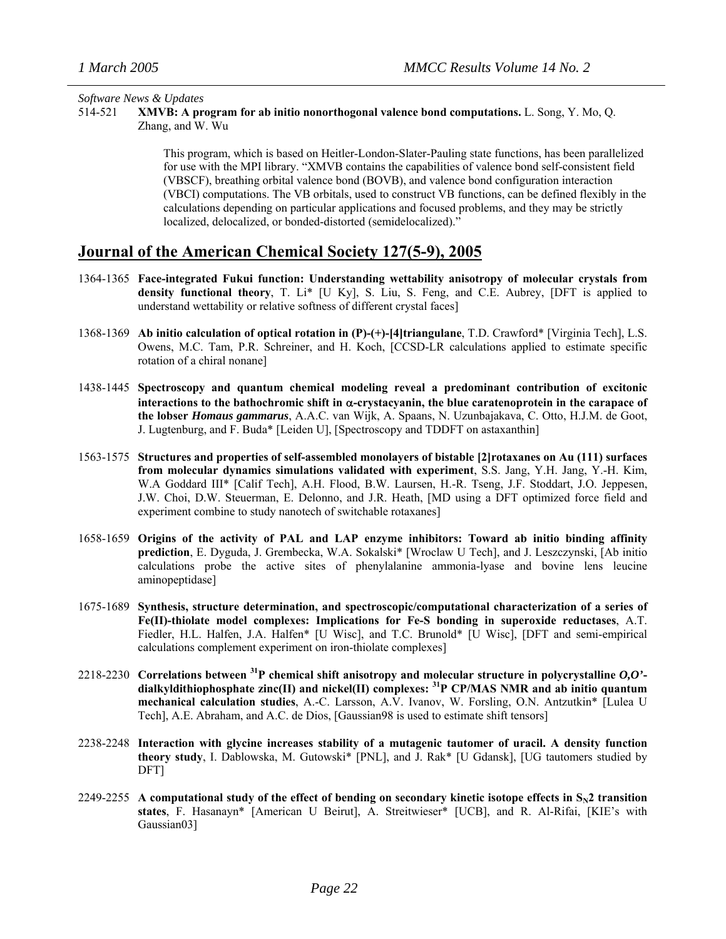#### *Software News & Updates*

514-521 **XMVB: A program for ab initio nonorthogonal valence bond computations.** L. Song, Y. Mo, Q. Zhang, and W. Wu

> This program, which is based on Heitler-London-Slater-Pauling state functions, has been parallelized for use with the MPI library. "XMVB contains the capabilities of valence bond self-consistent field (VBSCF), breathing orbital valence bond (BOVB), and valence bond configuration interaction (VBCI) computations. The VB orbitals, used to construct VB functions, can be defined flexibly in the calculations depending on particular applications and focused problems, and they may be strictly localized, delocalized, or bonded-distorted (semidelocalized)."

### **Journal of the American Chemical Society 127(5-9), 2005**

- 1364-1365 **Face-integrated Fukui function: Understanding wettability anisotropy of molecular crystals from density functional theory**, T. Li\* [U Ky], S. Liu, S. Feng, and C.E. Aubrey, [DFT is applied to understand wettability or relative softness of different crystal faces]
- 1368-1369 **Ab initio calculation of optical rotation in (P)-(+)-[4]triangulane**, T.D. Crawford\* [Virginia Tech], L.S. Owens, M.C. Tam, P.R. Schreiner, and H. Koch, [CCSD-LR calculations applied to estimate specific rotation of a chiral nonane]
- 1438-1445 **Spectroscopy and quantum chemical modeling reveal a predominant contribution of excitonic interactions to the bathochromic shift in** α**-crystacyanin, the blue caratenoprotein in the carapace of the lobser** *Homaus gammarus*, A.A.C. van Wijk, A. Spaans, N. Uzunbajakava, C. Otto, H.J.M. de Goot, J. Lugtenburg, and F. Buda\* [Leiden U], [Spectroscopy and TDDFT on astaxanthin]
- 1563-1575 **Structures and properties of self-assembled monolayers of bistable [2]rotaxanes on Au (111) surfaces from molecular dynamics simulations validated with experiment**, S.S. Jang, Y.H. Jang, Y.-H. Kim, W.A Goddard III\* [Calif Tech], A.H. Flood, B.W. Laursen, H.-R. Tseng, J.F. Stoddart, J.O. Jeppesen, J.W. Choi, D.W. Steuerman, E. Delonno, and J.R. Heath, [MD using a DFT optimized force field and experiment combine to study nanotech of switchable rotaxanes]
- 1658-1659 **Origins of the activity of PAL and LAP enzyme inhibitors: Toward ab initio binding affinity prediction**, E. Dyguda, J. Grembecka, W.A. Sokalski\* [Wroclaw U Tech], and J. Leszczynski, [Ab initio calculations probe the active sites of phenylalanine ammonia-lyase and bovine lens leucine aminopeptidase]
- 1675-1689 **Synthesis, structure determination, and spectroscopic/computational characterization of a series of Fe(II)-thiolate model complexes: Implications for Fe-S bonding in superoxide reductases**, A.T. Fiedler, H.L. Halfen, J.A. Halfen\* [U Wisc], and T.C. Brunold\* [U Wisc], [DFT and semi-empirical calculations complement experiment on iron-thiolate complexes]
- 2218-2230 **Correlations between 31P chemical shift anisotropy and molecular structure in polycrystalline** *O,O'* **dialkyldithiophosphate zinc(II) and nickel(II) complexes: 31P CP/MAS NMR and ab initio quantum mechanical calculation studies**, A.-C. Larsson, A.V. Ivanov, W. Forsling, O.N. Antzutkin\* [Lulea U Tech], A.E. Abraham, and A.C. de Dios, [Gaussian98 is used to estimate shift tensors]
- 2238-2248 **Interaction with glycine increases stability of a mutagenic tautomer of uracil. A density function theory study**, I. Dablowska, M. Gutowski\* [PNL], and J. Rak\* [U Gdansk], [UG tautomers studied by DFT]
- 2249-2255 A computational study of the effect of bending on secondary kinetic isotope effects in  $S_N2$  transition **states**, F. Hasanayn\* [American U Beirut], A. Streitwieser\* [UCB], and R. Al-Rifai, [KIE's with Gaussian03]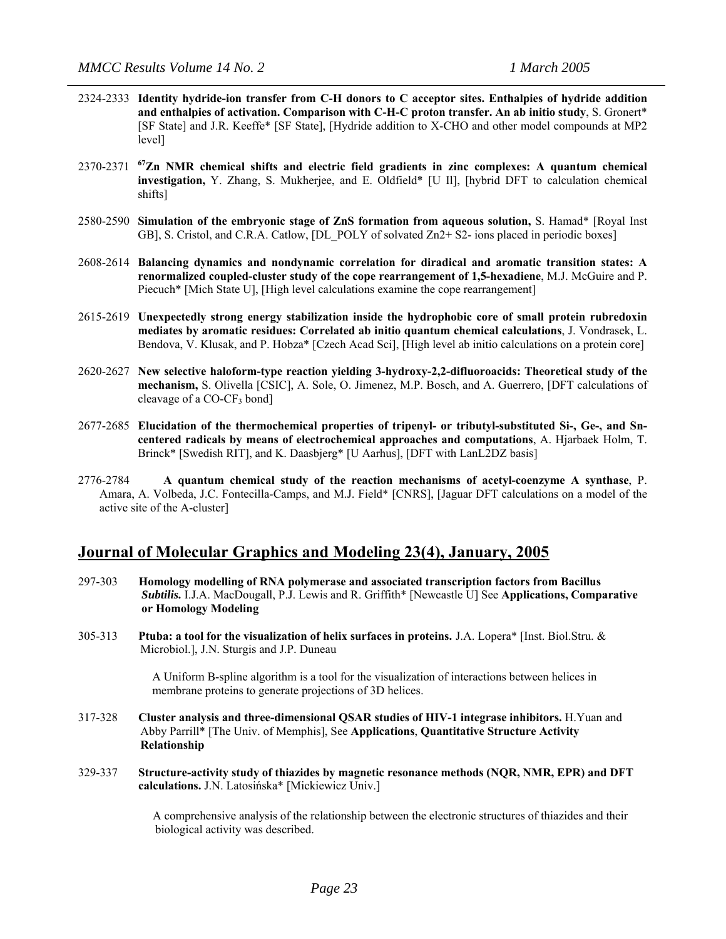- 2324-2333 **Identity hydride-ion transfer from C-H donors to C acceptor sites. Enthalpies of hydride addition and enthalpies of activation. Comparison with C-H-C proton transfer. An ab initio study**, S. Gronert\* [SF State] and J.R. Keeffe\* [SF State], [Hydride addition to X-CHO and other model compounds at MP2 level]
- 2370-2371 **67Zn NMR chemical shifts and electric field gradients in zinc complexes: A quantum chemical investigation,** Y. Zhang, S. Mukherjee, and E. Oldfield\* [U Il], [hybrid DFT to calculation chemical shifts]
- 2580-2590 **Simulation of the embryonic stage of ZnS formation from aqueous solution,** S. Hamad\* [Royal Inst GB], S. Cristol, and C.R.A. Catlow, [DL\_POLY of solvated Zn2+ S2- ions placed in periodic boxes]
- 2608-2614 **Balancing dynamics and nondynamic correlation for diradical and aromatic transition states: A renormalized coupled-cluster study of the cope rearrangement of 1,5-hexadiene**, M.J. McGuire and P. Piecuch\* [Mich State U], [High level calculations examine the cope rearrangement]
- 2615-2619 **Unexpectedly strong energy stabilization inside the hydrophobic core of small protein rubredoxin mediates by aromatic residues: Correlated ab initio quantum chemical calculations**, J. Vondrasek, L. Bendova, V. Klusak, and P. Hobza\* [Czech Acad Sci], [High level ab initio calculations on a protein core]
- 2620-2627 **New selective haloform-type reaction yielding 3-hydroxy-2,2-difluoroacids: Theoretical study of the mechanism,** S. Olivella [CSIC], A. Sole, O. Jimenez, M.P. Bosch, and A. Guerrero, [DFT calculations of cleavage of a  $CO-CF_3$  bond]
- 2677-2685 **Elucidation of the thermochemical properties of tripenyl- or tributyl-substituted Si-, Ge-, and Sncentered radicals by means of electrochemical approaches and computations**, A. Hjarbaek Holm, T. Brinck\* [Swedish RIT], and K. Daasbjerg\* [U Aarhus], [DFT with LanL2DZ basis]
- 2776-2784 **A quantum chemical study of the reaction mechanisms of acetyl-coenzyme A synthase**, P. Amara, A. Volbeda, J.C. Fontecilla-Camps, and M.J. Field\* [CNRS], [Jaguar DFT calculations on a model of the active site of the A-cluster]

#### **Journal of Molecular Graphics and Modeling 23(4), January, 2005**

- 297-303 **Homology modelling of RNA polymerase and associated transcription factors from Bacillus**   *Subtilis.* I.J.A. MacDougall, P.J. Lewis and R. Griffith\* [Newcastle U] See **Applications, Comparative**  **or Homology Modeling**
- 305-313**Ptuba: a tool for the visualization of helix surfaces in proteins.** J.A. Lopera\* [Inst. Biol.Stru. & Microbiol.], J.N. Sturgis and J.P. Duneau

 A Uniform B-spline algorithm is a tool for the visualization of interactions between helices in membrane proteins to generate projections of 3D helices.

- 317-328 **Cluster analysis and three-dimensional QSAR studies of HIV-1 integrase inhibitors.** H.Yuan and Abby Parrill\* [The Univ. of Memphis], See **Applications**, **Quantitative Structure Activity Relationship**
- 329-337 **Structure-activity study of thiazides by magnetic resonance methods (NQR, NMR, EPR) and DFT calculations.** J.N. Latosińska\* [Mickiewicz Univ.]

 A comprehensive analysis of the relationship between the electronic structures of thiazides and their biological activity was described.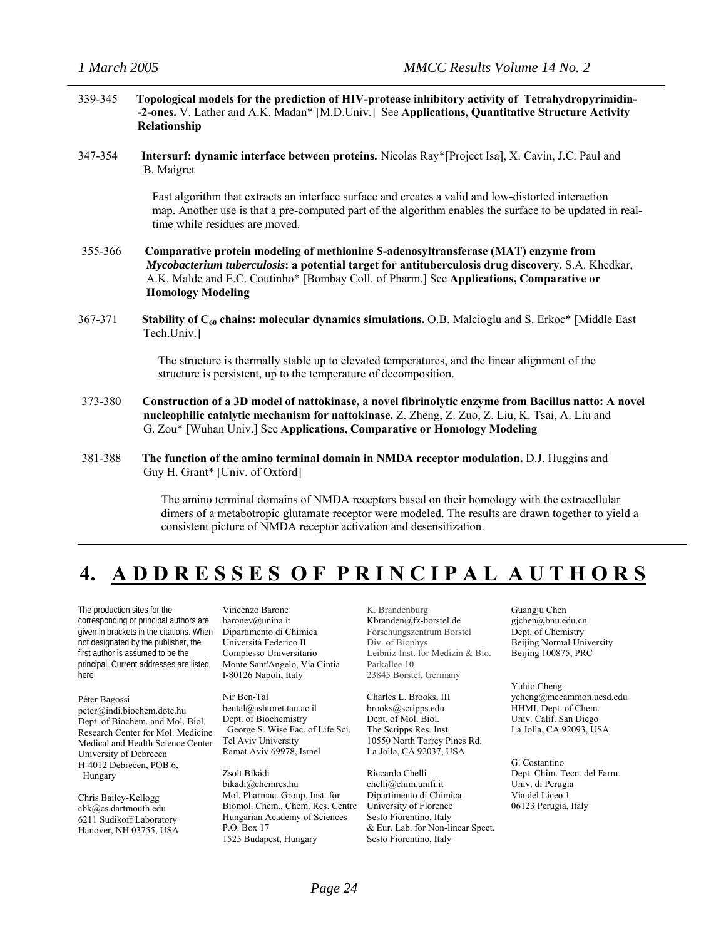| 339-345 | Topological models for the prediction of HIV-protease inhibitory activity of Tetrahydropyrimidin-<br>-2-ones. V. Lather and A.K. Madan* [M.D.Univ.] See Applications, Quantitative Structure Activity<br>Relationship                                                                                          |
|---------|----------------------------------------------------------------------------------------------------------------------------------------------------------------------------------------------------------------------------------------------------------------------------------------------------------------|
| 347-354 | Intersurf: dynamic interface between proteins. Nicolas Ray*[Project Isa], X. Cavin, J.C. Paul and<br><b>B.</b> Maigret                                                                                                                                                                                         |
|         | Fast algorithm that extracts an interface surface and creates a valid and low-distorted interaction<br>map. Another use is that a pre-computed part of the algorithm enables the surface to be updated in real-<br>time while residues are moved.                                                              |
| 355-366 | Comparative protein modeling of methionine S-adenosyltransferase (MAT) enzyme from<br>Mycobacterium tuberculosis: a potential target for antituberculosis drug discovery. S.A. Khedkar,<br>A.K. Malde and E.C. Coutinho* [Bombay Coll. of Pharm.] See Applications, Comparative or<br><b>Homology Modeling</b> |
| 367-371 | <b>Stability of <math>C_{60}</math> chains: molecular dynamics simulations.</b> O.B. Malcioglu and S. Erkoc* [Middle East<br>Tech.Univ.]                                                                                                                                                                       |
|         | The structure is thermally stable up to elevated temperatures, and the linear alignment of the<br>structure is persistent, up to the temperature of decomposition.                                                                                                                                             |
| 373-380 | Construction of a 3D model of nattokinase, a novel fibrinolytic enzyme from Bacillus natto: A novel<br>nucleophilic catalytic mechanism for nattokinase. Z. Zheng, Z. Zuo, Z. Liu, K. Tsai, A. Liu and<br>G. Zou* [Wuhan Univ.] See Applications, Comparative or Homology Modeling                             |
| 381-388 | The function of the amino terminal domain in NMDA receptor modulation. D.J. Huggins and<br>Guy H. Grant* [Univ. of Oxford]                                                                                                                                                                                     |
|         | The amino terminal domains of NMDA receptors based on their homology with the extracellular                                                                                                                                                                                                                    |

 dimers of a metabotropic glutamate receptor were modeled. The results are drawn together to yield a consistent picture of NMDA receptor activation and desensitization.

## **4. A D D R E S S E S O F P R I N C I P A L A U T H O R S**

The production sites for the corresponding or principal authors are given in brackets in the citations. When not designated by the publisher, the first author is assumed to be the principal. Current addresses are listed here.

Péter Bagossi peter@indi.biochem.dote.hu Dept. of Biochem. and Mol. Biol. Research Center for Mol. Medicine Medical and Health Science Center University of Debrecen H-4012 Debrecen, POB 6, Hungary

Chris Bailey-Kellogg cbk@cs.dartmouth.edu 6211 Sudikoff Laboratory Hanover, NH 03755, USA

Vincenzo Barone baronev@unina.it Dipartimento di Chimica Università Federico II Complesso Universitario Monte Sant'Angelo, Via Cintia I-80126 Napoli, Italy

Nir Ben-Tal bental@ashtoret.tau.ac.il Dept. of Biochemistry George S. Wise Fac. of Life Sci. Tel Aviv University Ramat Aviv 69978, Israel

Zsolt Bikádi bikadi@chemres.hu Mol. Pharmac. Group, Inst. for Biomol. Chem., Chem. Res. Centre Hungarian Academy of Sciences P.O. Box 17 1525 Budapest, Hungary

K. Brandenburg [Kbranden@fz-borstel.de](mailto:Kbranden@fz-borstel.de) Forschungszentrum Borstel Div. of Biophys. Leibniz-Inst. for Medizin & Bio. Parkallee 10 23845 Borstel, Germany

Charles L. Brooks, III brooks@scripps.edu Dept. of Mol. Biol. The Scripps Res. Inst. 10550 North Torrey Pines Rd. La Jolla, CA 92037, USA

Riccardo Chelli chelli@chim.unifi.it Dipartimento di Chimica University of Florence Sesto Fiorentino, Italy & Eur. Lab. for Non-linear Spect. Sesto Fiorentino, Italy

Guangju Chen gjchen@bnu.edu.cn Dept. of Chemistry Beijing Normal University Beijing 100875, PRC

Yuhio Cheng ycheng@mccammon.ucsd.edu HHMI, Dept. of Chem. Univ. Calif. San Diego La Jolla, CA 92093, USA

G. Costantino Dept. Chim. Tecn. del Farm. Univ. di Perugia Via del Liceo 1 06123 Perugia, Italy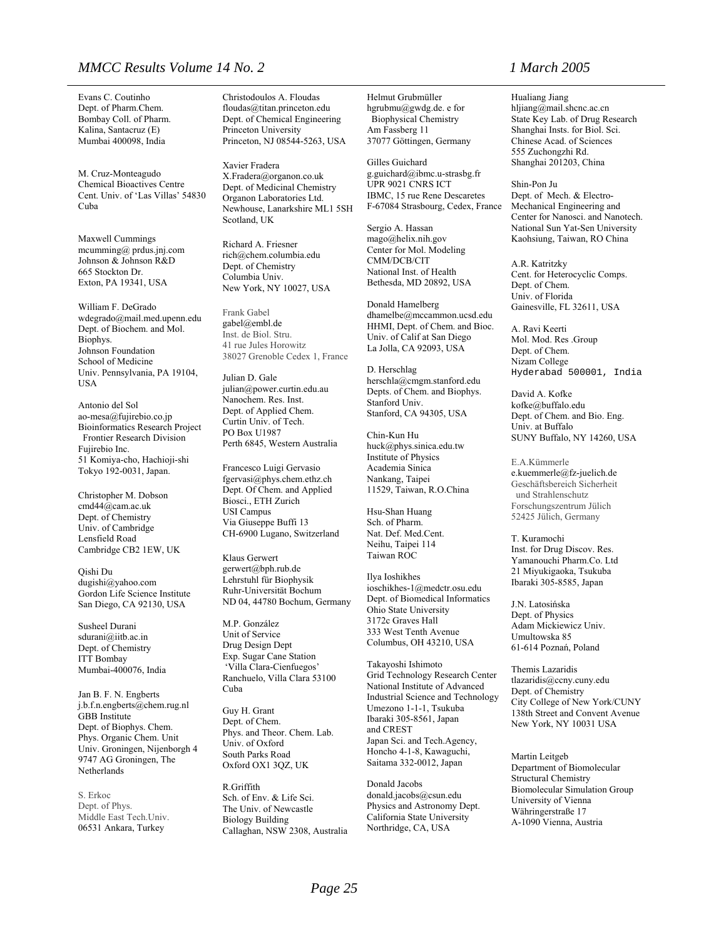#### *MMCC Results Volume 14 No. 2 1 March 2005*

Evans C. Coutinho Dept. of Pharm.Chem. Bombay Coll. of Pharm. Kalina, Santacruz (E) Mumbai 400098, India

M. Cruz-Monteagudo Chemical Bioactives Centre Cent. Univ. of 'Las Villas' 54830 Cuba

Maxwell Cummings mcumming@ prdus.jnj.com Johnson & Johnson R&D 665 Stockton Dr. Exton, PA 19341, USA

William F. DeGrado wdegrado@mail.med.upenn.edu Dept. of Biochem. and Mol. Biophys. Johnson Foundation School of Medicine Univ. Pennsylvania, PA 19104, USA

Antonio del Sol ao-mesa@fujirebio.co.jp Bioinformatics Research Project Frontier Research Division Fujirebio Inc. 51 Komiya-cho, Hachioji-shi Tokyo 192-0031, Japan.

Christopher M. Dobson cmd44@cam.ac.uk Dept. of Chemistry Univ. of Cambridge Lensfield Road Cambridge CB2 1EW, UK

Qishi Du dugishi@yahoo.com Gordon Life Science Institute San Diego, CA 92130, USA

Susheel Durani sdurani@iitb.ac.in Dept. of Chemistry ITT Bombay Mumbai-400076, India

Jan B. F. N. Engberts j.b.f.n.engberts@chem.rug.nl GBB Institute Dept. of Biophys. Chem. Phys. Organic Chem. Unit Univ. Groningen, Nijenborgh 4 9747 AG Groningen, The Netherlands

S. Erkoc Dept. of Phys. Middle East Tech.Univ. 06531 Ankara, Turkey

Christodoulos A. Floudas floudas@titan.princeton.edu Dept. of Chemical Engineering Princeton University Princeton, NJ 08544-5263, USA

Xavier Fradera X.Fradera@organon.co.uk Dept. of Medicinal Chemistry Organon Laboratories Ltd. Newhouse, Lanarkshire ML1 5SH Scotland, UK

Richard A. Friesner rich@chem.columbia.edu Dept. of Chemistry Columbia Univ. New York, NY 10027, USA

Frank Gabel [gabel@embl.de](mailto:gabel@embl.de) Inst. de Biol. Stru. 41 rue Jules Horowitz 38027 Grenoble Cedex 1, France

Julian D. Gale julian@power.curtin.edu.au Nanochem. Res. Inst. Dept. of Applied Chem. Curtin Univ. of Tech. PO Box U1987 Perth 6845, Western Australia

Francesco Luigi Gervasio fgervasi@phys.chem.ethz.ch Dept. Of Chem. and Applied Biosci., ETH Zurich USI Campus Via Giuseppe Buffi 13 CH-6900 Lugano, Switzerland

Klaus Gerwert gerwert@bph.rub.de Lehrstuhl für Biophysik Ruhr-Universität Bochum ND 04, 44780 Bochum, Germany

M.P. González Unit of Service Drug Design Dept Exp. Sugar Cane Station 'Villa Clara-Cienfuegos' Ranchuelo, Villa Clara 53100 Cuba

Guy H. Grant Dept. of Chem. Phys. and Theor. Chem. Lab. Univ. of Oxford South Parks Road Oxford OX1 3QZ, UK

R.Griffith Sch. of Env. & Life Sci. The Univ. of Newcastle Biology Building Callaghan, NSW 2308, Australia Helmut Grubmüller hgrubmu@gwdg.de. e for Biophysical Chemistry Am Fassberg 11 37077 Göttingen, Germany

Gilles Guichard g.guichard@ibmc.u-strasbg.fr UPR 9021 CNRS ICT IBMC, 15 rue Rene Descaretes F-67084 Strasbourg, Cedex, France

Sergio A. Hassan mago@helix.nih.gov Center for Mol. Modeling CMM/DCB/CIT National Inst. of Health Bethesda, MD 20892, USA

Donald Hamelberg dhamelbe@mccammon.ucsd.edu HHMI, Dept. of Chem. and Bioc. Univ. of Calif at San Diego La Jolla, CA 92093, USA

D. Herschlag [herschla@cmgm.stanford.edu](mailto:herschla@cmgm.stanford.edu) Depts. of Chem. and Biophys. Stanford Univ. Stanford, CA 94305, USA

Chin-Kun Hu huck@phys.sinica.edu.tw Institute of Physics Academia Sinica Nankang, Taipei 11529, Taiwan, R.O.China

Hsu-Shan Huang Sch. of Pharm. Nat. Def. Med.Cent. Neihu, Taipei 114 Taiwan ROC

Ilya Ioshikhes ioschikhes-1@medctr.osu.edu Dept. of Biomedical Informatics Ohio State University 3172c Graves Hall 333 West Tenth Avenue Columbus, OH 43210, USA

Takayoshi Ishimoto Grid Technology Research Center National Institute of Advanced Industrial Science and Technology Umezono 1-1-1, Tsukuba Ibaraki 305-8561, Japan and CREST Japan Sci. and Tech.Agency, Honcho 4-1-8, Kawaguchi, Saitama 332-0012, Japan

Donald Jacobs donald.jacobs@csun.edu Physics and Astronomy Dept. California State University Northridge, CA, USA

Hualiang Jiang hljiang@mail.shcnc.ac.cn State Key Lab. of Drug Research Shanghai Insts. for Biol. Sci. Chinese Acad. of Sciences 555 Zuchongzhi Rd. Shanghai 201203, China

Shin-Pon Ju Dept. of Mech. & Electro-Mechanical Engineering and Center for Nanosci. and Nanotech. National Sun Yat-Sen University Kaohsiung, Taiwan, RO China

A.R. Katritzky Cent. for Heterocyclic Comps. Dept. of Chem. Univ. of Florida Gainesville, FL 32611, USA

A. Ravi Keerti Mol. Mod. Res .Group Dept. of Chem. Nizam College Hyderabad 500001, India

David A. Kofke kofke@buffalo.edu Dept. of Chem. and Bio. Eng. Univ. at Buffalo SUNY Buffalo, NY 14260, USA

E.A.Kümmerle [e.kuemmerle@fz-juelich.de](mailto:e.kuemmerle@fz-juelich.de) Geschäftsbereich Sicherheit und Strahlenschutz Forschungszentrum Jülich 52425 Jülich, Germany

T. Kuramochi Inst. for Drug Discov. Res. Yamanouchi Pharm.Co. Ltd 21 Miyukigaoka, Tsukuba Ibaraki 305-8585, Japan

J.N. Latosińska Dept. of Physics Adam Mickiewicz Univ. Umultowska 85 61-614 Poznań, Poland

Themis Lazaridis tlazaridis@ccny.cuny.edu Dept. of Chemistry City College of New York/CUNY 138th Street and Convent Avenue New York, NY 10031 USA

Martin Leitgeb Department of Biomolecular Structural Chemistry Biomolecular Simulation Group University of Vienna Währingerstraße 17 A-1090 Vienna, Austria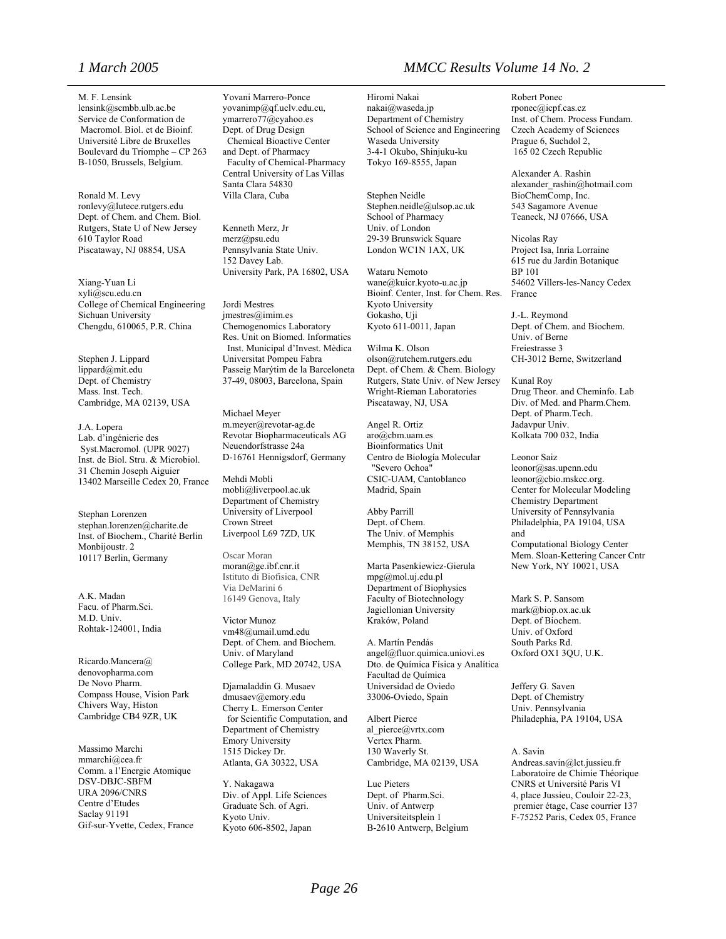M. F. Lensink lensink@scmbb.ulb.ac.be Service de Conformation de Macromol. Biol. et de Bioinf. Université Libre de Bruxelles Boulevard du Triomphe – CP 263 B-1050, Brussels, Belgium.

Ronald M. Levy ronlevy@lutece.rutgers.edu Dept. of Chem. and Chem. Biol. Rutgers, State U of New Jersey 610 Taylor Road Piscataway, NJ 08854, USA

Xiang-Yuan Li xyli@scu.edu.cn College of Chemical Engineering Sichuan University Chengdu, 610065, P.R. China

Stephen J. Lippard lippard@mit.edu Dept. of Chemistry Mass. Inst. Tech. Cambridge, MA 02139, USA

J.A. Lopera Lab. d'ingénierie des Syst.Macromol. (UPR 9027) Inst. de Biol. Stru. & Microbiol. 31 Chemin Joseph Aiguier 13402 Marseille Cedex 20, France

Stephan Lorenzen stephan.lorenzen@charite.de Inst. of Biochem., Charité Berlin Monbijoustr. 2 10117 Berlin, Germany

A.K. Madan Facu. of Pharm.Sci. M.D. Univ. Rohtak-124001, India

Ricardo.Mancera@ denovopharma.com De Novo Pharm. Compass House, Vision Park Chivers Way, Histon Cambridge CB4 9ZR, UK

Massimo Marchi mmarchi@cea.fr Comm. a l'Energie Atomique DSV-DBJC-SBFM URA 2096/CNRS Centre d'Etudes Saclay 91191 Gif-sur-Yvette, Cedex, France Yovani Marrero-Ponce yovanimp@qf.uclv.edu.cu, ymarrero77@cyahoo.es Dept. of Drug Design Chemical Bioactive Center and Dept. of Pharmacy Faculty of Chemical-Pharmacy Central University of Las Villas Santa Clara 54830 Villa Clara, Cuba

Kenneth Merz, Jr merz@psu.edu Pennsylvania State Univ. 152 Davey Lab. University Park, PA 16802, USA

Jordi Mestres jmestres@imim.es Chemogenomics Laboratory Res. Unit on Biomed. Informatics Inst. Municipal d'Invest. Mèdica Universitat Pompeu Fabra Passeig Marýtim de la Barceloneta 37-49, 08003, Barcelona, Spain

Michael Meyer m.meyer@revotar-ag.de Revotar Biopharmaceuticals AG Neuendorfstrasse 24a D-16761 Hennigsdorf, Germany

Mehdi Mobli mobli@liverpool.ac.uk Department of Chemistry University of Liverpool Crown Street Liverpool L69 7ZD, UK

Oscar Moran [moran@ge.ibf.cnr.it](mailto:moran@ge.ibf.cnr.it) Istituto di Biofisica, CNR Via DeMarini 6 16149 Genova, Italy

Victor Munoz vm48@umail.umd.edu Dept. of Chem. and Biochem. Univ. of Maryland College Park, MD 20742, USA

Djamaladdin G. Musaev dmusaev@emory.edu Cherry L. Emerson Center for Scientific Computation, and Department of Chemistry Emory University 1515 Dickey Dr. Atlanta, GA 30322, USA

Y. Nakagawa Div. of Appl. Life Sciences Graduate Sch. of Agri. Kyoto Univ. Kyoto 606-8502, Japan

#### *1 March 2005 MMCC Results Volume 14 No. 2*

Hiromi Nakai nakai@waseda.jp Department of Chemistry School of Science and Engineering Waseda University 3-4-1 Okubo, Shinjuku-ku Tokyo 169-8555, Japan

Stephen Neidle Stephen.neidle@ulsop.ac.uk School of Pharmacy Univ. of London 29-39 Brunswick Square London WC1N 1AX, UK

Wataru Nemoto wane@kuicr.kyoto-u.ac.jp Bioinf. Center, Inst. for Chem. Res. Kyoto University Gokasho, Uji Kyoto 611-0011, Japan

Wilma K. Olson olson@rutchem.rutgers.edu Dept. of Chem. & Chem. Biology Rutgers, State Univ. of New Jersey Wright-Rieman Laboratories Piscataway, NJ, USA

Angel R. Ortiz aro@cbm.uam.es Bioinformatics Unit Centro de Biología Molecular "Severo Ochoa" CSIC-UAM, Cantoblanco Madrid, Spain

Abby Parrill Dept. of Chem. The Univ. of Memphis Memphis, TN 38152, USA

Marta Pasenkiewicz-Gierula mpg@mol.uj.edu.pl Department of Biophysics Faculty of Biotechnology Jagiellonian University Kraków, Poland

A. Martín Pendás angel@fluor.quimica.uniovi.es Dto. de Química Física y Analítica Facultad de Química Universidad de Oviedo 33006-Oviedo, Spain

Albert Pierce al\_pierce@vrtx.com Vertex Pharm. 130 Waverly St. Cambridge, MA 02139, USA

Luc Pieters Dept. of Pharm.Sci. Univ. of Antwerp Universiteitsplein 1 B-2610 Antwerp, Belgium

Robert Ponec rponec@icpf.cas.cz Inst. of Chem. Process Fundam. Czech Academy of Sciences Prague 6, Suchdol 2, 165 02 Czech Republic

Alexander A. Rashin alexander\_rashin@hotmail.com BioChemComp, Inc. 543 Sagamore Avenue Teaneck, NJ 07666, USA

Nicolas Ray Project Isa, Inria Lorraine 615 rue du Jardin Botanique BP 101 54602 Villers-les-Nancy Cedex France

J.-L. Reymond Dept. of Chem. and Biochem. Univ. of Berne Freiestrasse 3 CH-3012 Berne, Switzerland

Kunal Roy Drug Theor. and Cheminfo. Lab Div. of Med. and Pharm.Chem. Dept. of Pharm.Tech. Jadavpur Univ. Kolkata 700 032, India

Leonor Saiz leonor@sas.upenn.edu leonor@cbio.mskcc.org. Center for Molecular Modeling Chemistry Department University of Pennsylvania Philadelphia, PA 19104, USA and Computational Biology Center Mem. Sloan-Kettering Cancer Cntr New York, NY 10021, USA

Mark S. P. Sansom mark@biop.ox.ac.uk Dept. of Biochem. Univ. of Oxford South Parks Rd. Oxford OX1 3QU, U.K.

Jeffery G. Saven Dept. of Chemistry Univ. Pennsylvania Philadephia, PA 19104, USA

A. Savin Andreas.savin@lct.jussieu.fr Laboratoire de Chimie Théorique CNRS et Université Paris VI 4, place Jussieu, Couloir 22-23, premier étage, Case courrier 137 F-75252 Paris, Cedex 05, France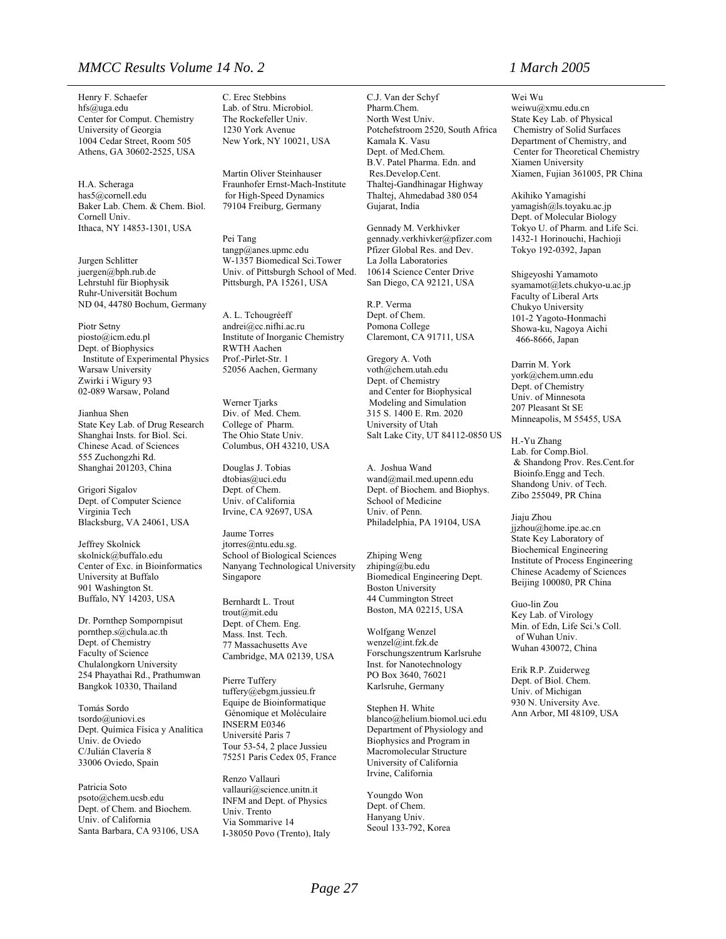#### *MMCC Results Volume 14 No. 2 1 March 2005*

Henry F. Schaefer hfs@uga.edu Center for Comput. Chemistry University of Georgia 1004 Cedar Street, Room 505 Athens, GA 30602-2525, USA

H.A. Scheraga [has5@cornell.edu](mailto:has5@cornell.edu)  Baker Lab. Chem. & Chem. Biol. Cornell Univ. Ithaca, NY 14853-1301, USA

Jurgen Schlitter juergen@bph.rub.de Lehrstuhl für Biophysik Ruhr-Universität Bochum ND 04, 44780 Bochum, Germany

Piotr Setny piosto@icm.edu.pl Dept. of Biophysics Institute of Experimental Physics Warsaw University Zwirki i Wigury 93 02-089 Warsaw, Poland

Jianhua Shen State Key Lab. of Drug Research Shanghai Insts. for Biol. Sci. Chinese Acad. of Sciences 555 Zuchongzhi Rd. Shanghai 201203, China

Grigori Sigalov Dept. of Computer Science Virginia Tech Blacksburg, VA 24061, USA

Jeffrey Skolnick skolnick@buffalo.edu Center of Exc. in Bioinformatics University at Buffalo 901 Washington St. Buffalo, NY 14203, USA

Dr. Pornthep Sompornpisut pornthep.s@chula.ac.th Dept. of Chemistry Faculty of Science Chulalongkorn University 254 Phayathai Rd., Prathumwan Bangkok 10330, Thailand

Tomás Sordo tsordo@uniovi.es Dept. Química Física y Analítica Univ. de Oviedo C/Julián Clavería 8 33006 Oviedo, Spain

Patricia Soto psoto@chem.ucsb.edu Dept. of Chem. and Biochem. Univ. of California Santa Barbara, CA 93106, USA C. Erec Stebbins Lab. of Stru. Microbiol. The Rockefeller Univ. 1230 York Avenue New York, NY 10021, USA

Martin Oliver Steinhauser Fraunhofer Ernst-Mach-Institute for High-Speed Dynamics 79104 Freiburg, Germany

Pei Tang tangp@anes.upmc.edu W-1357 Biomedical Sci.Tower Univ. of Pittsburgh School of Med. Pittsburgh, PA 15261, USA

A. L. Tchougréeff andrei@cc.nifhi.ac.ru Institute of Inorganic Chemistry RWTH Aachen Prof.-Pirlet-Str. 1 52056 Aachen, Germany

Werner Tjarks Div. of Med. Chem. College of Pharm. The Ohio State Univ. Columbus, OH 43210, USA

Douglas J. Tobias dtobias@uci.edu Dept. of Chem. Univ. of California Irvine, CA 92697, USA

Jaume Torres jtorres@ntu.edu.sg. School of Biological Sciences Nanyang Technological University Singapore

Bernhardt L. Trout trout@mit.edu Dept. of Chem. Eng. Mass. Inst. Tech. 77 Massachusetts Ave Cambridge, MA 02139, USA

Pierre Tuffery tuffery@ebgm.jussieu.fr Equipe de Bioinformatique Génomique et Moléculaire INSERM E0346 Université Paris 7 Tour 53-54, 2 place Jussieu 75251 Paris Cedex 05, France

Renzo Vallauri vallauri@science.unitn.it INFM and Dept. of Physics Univ. Trento Via Sommarive 14 I-38050 Povo (Trento), Italy C.J. Van der Schyf Pharm.Chem. North West Univ. Potchefstroom 2520, South Africa Kamala K. Vasu Dept. of Med.Chem. B.V. Patel Pharma. Edn. and Res.Develop.Cent. Thaltej-Gandhinagar Highway Thaltej, Ahmedabad 380 054 Gujarat, India

Gennady M. Verkhivker gennady.verkhivker@pfizer.com Pfizer Global Res. and Dev. La Jolla Laboratories 10614 Science Center Drive San Diego, CA 92121, USA

R.P. Verma Dept. of Chem. Pomona College Claremont, CA 91711, USA

Gregory A. Voth voth@chem.utah.edu Dept. of Chemistry and Center for Biophysical Modeling and Simulation 315 S. 1400 E. Rm. 2020 University of Utah Salt Lake City, UT 84112-0850 US

A. Joshua Wand wand@mail.med.upenn.edu Dept. of Biochem. and Biophys. School of Medicine Univ. of Penn. Philadelphia, PA 19104, USA

Zhiping Weng zhiping@bu.edu Biomedical Engineering Dept. Boston University 44 Cummington Street Boston, MA 02215, USA

Wolfgang Wenzel wenzel@int.fzk.de Forschungszentrum Karlsruhe Inst. for Nanotechnology PO Box 3640, 76021 Karlsruhe, Germany

Stephen H. White blanco@helium.biomol.uci.edu Department of Physiology and Biophysics and Program in Macromolecular Structure University of California Irvine, California

Youngdo Won Dept. of Chem. Hanyang Univ. Seoul 133-792, Korea

Wei Wu weiwu@xmu.edu.cn State Key Lab. of Physical Chemistry of Solid Surfaces Department of Chemistry, and Center for Theoretical Chemistry Xiamen University Xiamen, Fujian 361005, PR China

Akihiko Yamagishi yamagish@ls.toyaku.ac.jp Dept. of Molecular Biology Tokyo U. of Pharm. and Life Sci. 1432-1 Horinouchi, Hachioji Tokyo 192-0392, Japan

Shigeyoshi Yamamoto syamamot@lets.chukyo-u.ac.jp Faculty of Liberal Arts Chukyo University 101-2 Yagoto-Honmachi Showa-ku, Nagoya Aichi 466-8666, Japan

Darrin M. York york@chem.umn.edu Dept. of Chemistry Univ. of Minnesota 207 Pleasant St SE Minneapolis, M 55455, USA

H.-Yu Zhang Lab. for Comp.Biol. & Shandong Prov. Res.Cent.for Bioinfo.Engg and Tech. Shandong Univ. of Tech. Zibo 255049, PR China

Jiaju Zhou jjzhou@home.ipe.ac.cn State Key Laboratory of Biochemical Engineering Institute of Process Engineering Chinese Academy of Sciences Beijing 100080, PR China

Guo-lin Zou Key Lab. of Virology Min. of Edn, Life Sci.'s Coll. of Wuhan Univ. Wuhan 430072, China

Erik R.P. Zuiderweg Dept. of Biol. Chem. Univ. of Michigan 930 N. University Ave. Ann Arbor, MI 48109, USA